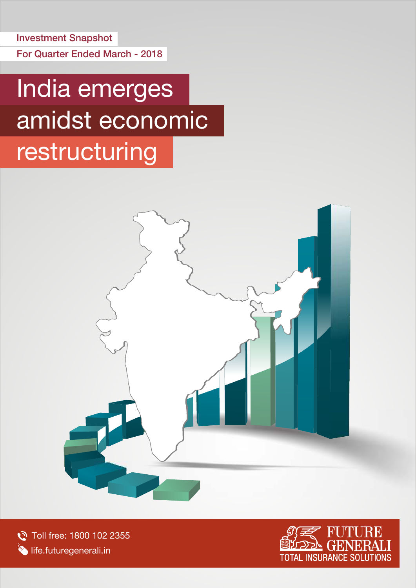For Quarter Ended March - 2018 Investment Snapshot

# India emerges amidst economic

# restructuring



Toll free: 1800 102 2355 **Iffe.futuregenerali.in** 

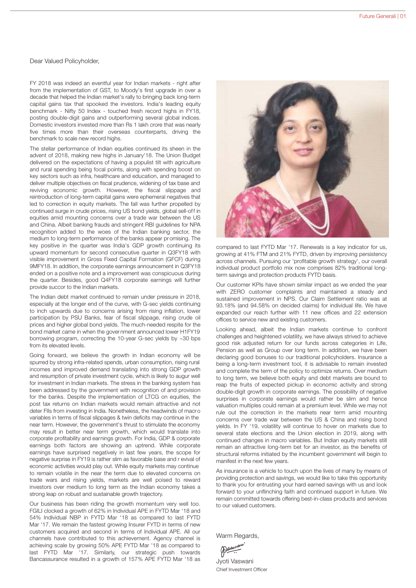## Dear Valued Policyholder,

FY 2018 was indeed an eventful year for Indian markets - right after from the implementation of GST, to Moody's first upgrade in over a decade that helped the Indian market's rally to bringing back long-term capital gains tax that spooked the investors. India's leading equity benchmark - Nifty 50 Index - touched fresh record highs in FY18, posting double-digit gains and outperforming several global indices. Domestic investors invested more than Rs 1 lakh crore that was nearly five times more than their overseas counterparts, driving the benchmark to scale new record highs.

The stellar performance of Indian equities continued its sheen in the advent of 2018, making new highs in January'18. The Union Budget delivered on the expectations of having a populist tilt with agriculture and rural spending being focal points, along with spending boost on key sectors such as infra, healthcare and education, and managed to deliver multiple objectives on fiscal prudence, widening of tax base and reviving economic growth. However, the fiscal slippage and reintroduction of long-term capital gains were ephemeral negatives that led to correction in equity markets. The fall was further propelled by continued surge in crude prices, rising US bond yields, global sell-off in equities amid mounting concerns over a trade war between the US and China. Albeit banking frauds and stringent RBI guidelines for NPA recognition added to the woes of the Indian banking sector, the medium to long-term performance of the banks appear pr omising. The key positive in the quarter was India's GDP growth continuing its upward momentum for second consecutive quarter in Q3FY18 with visible improvement in Gross Fixed Capital Formation (GFCF) during 9MFY18. In addition, the corporate earnings announcement in Q3FY18 ended on a positive note and a improvement was conspicuous during the quarter. Besides, good Q4FY18 corporate earnings will further provide succor to the Indian markets.

The Indian debt market continued to remain under pressure in 2018, especially at the longer end of the curve, with G-sec yields continuing to inch upwards due to concerns arising from rising inflation, lower participation by PSU Banks, fear of fiscal slippage, rising crude oil prices and higher global bond yields. The much-needed respite for the bond market came in when the government announced lower H1FY19 borrowing program, correcting the 10-year G-sec yields by ~30 bps from its elevated levels.

Going forward, we believe the growth in Indian economy will be spurred by strong infra-related spends, urban consumption, rising rural incomes and improved demand translating into strong GDP growth and resumption of private investment cycle, which is likely to augur well for investment in Indian markets. The stress in the banking system has been addressed by the government with recognition of and provision for the banks. Despite the implementation of LTCG on equities, the post tax returns on Indian markets would remain attractive and not deter FIIs from investing in India. Nonetheless, the headwinds of macro variables in terms of fiscal slippages & twin deficits may continue in the near term. However, the government's thrust to stimulate the economy may result in better near term growth, which would translate into corporate profitability and earnings growth. For India, GDP & corporate earnings both factors are showing an uptrend. While corporate earnings have surprised negatively in last few years, the scope for negative surprise in FY19 is rather slim as favorable base and r evival of economic activities would play out. While equity markets may continue to remain volatile in the near the term due to elevated concerns on trade wars and rising yields, markets are well poised to reward investors over medium to long term as the Indian economy takes a strong leap on robust and sustainable growth trajectory.

Our business has been riding the growth momentum very well too. FGILI clocked a growth of 62% in Individual APE in FYTD Mar '18 and 54% Individual NBP in FYTD Mar '18 as compared to last FYTD Mar '17. We remain the fastest growing Insurer FYTD in terms of new customers acquired and second in terms of Individual APE. All our channels have contributed to this achievement. Agency channel is achieving scale by growing 50% APE FYTD Mar '18 as compared to last FYTD Mar '17. Similarly, our strategic push towards Bancassurance resulted in a growth of 157% APE FYTD Mar '18 as



compared to last FYTD Mar '17. Renewals is a key indicator for us, growing at 41% FTM and 21% FYTD, driven by improving persistency across channels. Pursuing our 'profitable growth strategy', our overall individual product portfolio mix now comprises 82% traditional longterm savings and protection products FYTD basis.

Our customer KPIs have shown similar impact as we ended the year with ZERO customer complaints and maintained a steady and sustained improvement in NPS. Our Claim Settlement ratio was at 93.18% (and 94.58% on decided claims) for individual life. We have expanded our reach further with 11 new offices and 22 extension offices to service new and existing customers.

Looking ahead, albeit the Indian markets continue to confront challenges and heightened volatility, we have always strived to achieve good risk adjusted return for our funds across categories in Life, Pension as well as Group over long term. In addition, we have been declaring good bonuses to our traditional policyholders. Insurance a being a long-term investment tool, it is advisable to remain invested and complete the term of the policy to optimize returns. Over medium to long term, we believe both equity and debt markets are bound to reap the fruits of expected pickup in economic activity and strong double-digit growth in corporate earnings. The possibility of negative surprises in corporate earnings would rather be slim and hence valuation multiples could remain at a premium level. While we may not rule out the correction in the markets near term amid mounting concerns over trade war between the US & China and rising bond yields. In FY '19, volatility will continue to hover on markets due to several state elections and the Union election in 2019, along with continued changes in macro variables. But Indian equity markets still remain an attractive long-term bet for an investor, as the benefits of structural reforms initiated by the incumbent government will begin to manifest in the next few years.

As insurance is a vehicle to touch upon the lives of many by means of providing protection and savings, we would like to take this opportunity to thank you for entrusting your hard earned savings with us and look forward to your unflinching faith and continued support in future. We remain committed towards offering best-in-class products and services to our valued customers.

Warm Regards,

Jyoti Vaswani Chief Investment Officer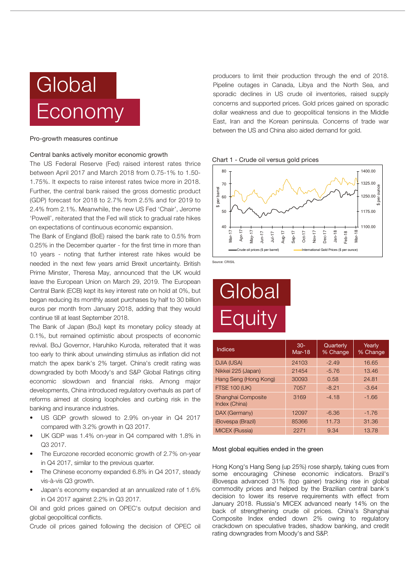# **Global** Economy

### Pro-growth measures continue

## Central banks actively monitor economic growth

The US Federal Reserve (Fed) raised interest rates thrice between April 2017 and March 2018 from 0.75-1% to 1.50- 1.75%. It expects to raise interest rates twice more in 2018. Further, the central bank raised the gross domestic product (GDP) forecast for 2018 to 2.7% from 2.5% and for 2019 to 2.4% from 2.1%. Meanwhile, the new US Fed 'Chair', Jerome 'Powell', reiterated that the Fed will stick to gradual rate hikes on expectations of continuous economic expansion.

The Bank of England (BoE) raised the bank rate to 0.5% from 0.25% in the December quarter - for the first time in more than 10 years - noting that further interest rate hikes would be needed in the next few years amid Brexit uncertainty. British Prime Minster, Theresa May, announced that the UK would leave the European Union on March 29, 2019. The European Central Bank (ECB) kept its key interest rate on hold at 0%, but began reducing its monthly asset purchases by half to 30 billion euros per month from January 2018, adding that they would continue till at least September 2018.

The Bank of Japan (BoJ) kept its monetary policy steady at 0.1%, but remained optimistic about prospects of economic revival. BoJ Governor, Haruhiko Kuroda, reiterated that it was too early to think about unwinding stimulus as inflation did not match the apex bank's 2% target. China's credit rating was downgraded by both Moody's and S&P Global Ratings citing economic slowdown and financial risks. Among major developments, China introduced regulatory overhauls as part of reforms aimed at closing loopholes and curbing risk in the banking and insurance industries.

- US GDP growth slowed to 2.9% on-year in Q4 2017 compared with 3.2% growth in Q3 2017.
- UK GDP was 1.4% on-year in Q4 compared with 1.8% in Q3 2017.
- The Eurozone recorded economic growth of 2.7% on-year in Q4 2017, similar to the previous quarter.
- The Chinese economy expanded 6.8% in Q4 2017, steady vis-à-vis Q3 growth.
- Japan's economy expanded at an annualized rate of 1.6% in Q4 2017 against 2.2% in Q3 2017.

Oil and gold prices gained on OPEC's output decision and global geopolitical conflicts.

Crude oil prices gained following the decision of OPEC oil

producers to limit their production through the end of 2018. Pipeline outages in Canada, Libya and the North Sea, and sporadic declines in US crude oil inventories, raised supply concerns and supported prices. Gold prices gained on sporadic dollar weakness and due to geopolitical tensions in the Middle East, Iran and the Korean peninsula. Concerns of trade war between the US and China also aided demand for gold.

Chart 1 - Crude oil versus gold prices



Source: CRISIL

# **Global Equity**

| Indices                             | $30-$<br>$Mar-18$ | Quarterly<br>% Change | Yearly<br>% Change |
|-------------------------------------|-------------------|-----------------------|--------------------|
| DJIA (USA)                          | 24103             | $-2.49$               | 16.65              |
| Nikkei 225 (Japan)                  | 21454             | $-5.76$               | 13.46              |
| Hang Seng (Hong Kong)               | 30093             | 0.58                  | 24.81              |
| <b>FTSE 100 (UK)</b>                | 7057              | $-8.21$               | $-3.64$            |
| Shanghai Composite<br>Index (China) | 3169              | $-4.18$               | $-1.66$            |
| DAX (Germany)                       | 12097             | $-6.36$               | $-1.76$            |
| <i><b>iBovespa (Brazil)</b></i>     | 85366             | 11.73                 | 31.36              |
| <b>MICEX (Russia)</b>               | 2271              | 9.34                  | 13.78              |

### Most global equities ended in the green

Hong Kong's Hang Seng (up 25%) rose sharply, taking cues from some encouraging Chinese economic indicators. Brazil's iBovespa advanced 31% (top gainer) tracking rise in global commodity prices and helped by the Brazilian central bank's decision to lower its reserve requirements with effect from January 2018. Russia's MICEX advanced nearly 14% on the back of strengthening crude oil prices. China's Shanghai Composite Index ended down 2% owing to regulatory crackdown on speculative trades, shadow banking, and credit rating downgrades from Moody's and S&P.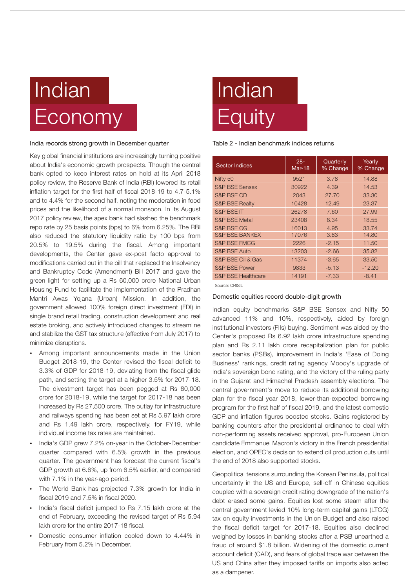# Indian Economy

### India records strong growth in December quarter

Key global financial institutions are increasingly turning positive about India's economic growth prospects. Though the central bank opted to keep interest rates on hold at its April 2018 policy review, the Reserve Bank of India (RBI) lowered its retail inflation target for the first half of fiscal 2018-19 to 4.7-5.1% and to 4.4% for the second half, noting the moderation in food prices and the likelihood of a normal monsoon. In its August 2017 policy review, the apex bank had slashed the benchmark repo rate by 25 basis points (bps) to 6% from 6.25%. The RBI also reduced the statutory liquidity ratio by 100 bps from 20.5% to 19.5% during the fiscal. Among important developments, the Center gave ex-post facto approval to modifications carried out in the bill that r eplaced the Insolvency and Bankruptcy Code (Amendment) Bill 2017 and gave the green light for setting up a Rs 60,000 crore National Urban Housing Fund to facilitate the implementation of the Pradhan Mantri Awas Yojana (Urban) Mission. In addition, the government allowed 100% foreign direct investment (FDI) in single brand retail trading, construction development and real estate broking, and actively introduced changes to streamline and stabilize the GST tax structure (effective from July 2017) to minimize disruptions.

- ?Among important announcements made in the Union Budget 2018-19, the Center revised the fiscal deficit to 3.3% of GDP for 2018-19, deviating from the fiscal glide path, and setting the target at a higher 3.5% for 2017-18. The divestment target has been pegged at Rs 80,000 crore for 2018-19, while the target for 2017-18 has been increased by Rs 27,500 crore. The outlay for infrastructure and railways spending has been set at Rs 5.97 lakh crore and Rs 1.49 lakh crore, respectively, for FY19, while
- ?individual income tax rates are maintained. India's GDP grew 7.2% on-year in the October-December quarter compared with 6.5% growth in the previous quarter. The government has forecast the current fiscal's GDP growth at 6.6%, up from 6.5% earlier, and compared
- ?with 7.1% in the year-ago period. The World Bank has projected 7.3% growth for India in
- ?fiscal 2019 and 7.5% in fiscal 2020. India's fiscal deficit jumped to Rs 7.15 lakh crore at the end of February, exceeding the revised target of Rs 5.94
- ?lakh crore for the entire 2017-18 fiscal. Domestic consumer inflation cooled down to 4.44% in February from 5.2% in December.

# Indian **Equity**

## Table 2 - Indian benchmark indices returns

| <b>Sector Indices</b>         | $28 -$<br>$Mar-18$ | Quarterly<br>% Change | Yearly<br>% Change |
|-------------------------------|--------------------|-----------------------|--------------------|
| Nifty 50                      | 9521               | 3.78                  | 14.88              |
| <b>S&amp;P BSE Sensex</b>     | 30922              | 4.39                  | 14.53              |
| <b>S&amp;P BSE CD</b>         | 2043               | 27.70                 | 33.30              |
| <b>S&amp;P BSE Realty</b>     | 10428              | 12.49                 | 23.37              |
| S&P BSE IT                    | 26278              | 7.60                  | 27.99              |
| <b>S&amp;P BSE Metal</b>      | 23408              | 6.34                  | 18.55              |
| S&P BSE CG                    | 16013              | 4.95                  | 33.74              |
| <b>S&amp;P BSE BANKEX</b>     | 17076              | 3.83                  | 14.80              |
| <b>S&amp;P BSE FMCG</b>       | 2226               | $-2.15$               | 11.50              |
| <b>S&amp;P BSE Auto</b>       | 13203              | $-2.66$               | 35.82              |
| S&P BSE Oil & Gas             | 11374              | $-3.65$               | 33.50              |
| <b>S&amp;P BSE Power</b>      | 9833               | $-5.13$               | $-12.20$           |
| <b>S&amp;P BSE Healthcare</b> | 14191              | $-7.33$               | $-8.41$            |

Source: CRISIL

# Domestic equities record double-digit growth

Indian equity benchmarks S&P BSE Sensex and Nifty 50 advanced 11% and 10%, respectively, aided by foreign institutional investors (FIIs) buying. Sentiment was aided by the Center's proposed Rs 6.92 lakh crore infrastructure spending plan and Rs 2.11 lakh crore recapitalization plan for public sector banks (PSBs), improvement in India's 'Ease of Doing Business' rankings, credit rating agency Moody's upgrade of India's sovereign bond rating, and the victory of the ruling party in the Gujarat and Himachal Pradesh assembly elections. The central government's move to reduce its additional borrowing plan for the fiscal year 2018, lower-than-expected borrowing program for the first half of fiscal 2019, and the latest domestic GDP and inflation figures boosted stocks. Gains registered by banking counters after the presidential ordinance to deal with non-performing assets received approval, pro-European Union candidate Emmanuel Macron's victory in the French presidential election, and OPEC's decision to extend oil production cuts until the end of 2018 also supported stocks.

Geopolitical tensions surrounding the Korean Peninsula, political uncertainty in the US and Europe, sell-off in Chinese equities coupled with a sovereign credit rating downgrade of the nation's debt erased some gains. Equities lost some steam after the central government levied 10% long-term capital gains (LTCG) tax on equity investments in the Union Budget and also raised the fiscal deficit target for 2017-18. Equities also declined weighed by losses in banking stocks after a PSB unearthed a fraud of around \$1.8 billion. Widening of the domestic current account deficit (CAD), and fears of global trade war between the US and China after they imposed tariffs on imports also acted as a dampener.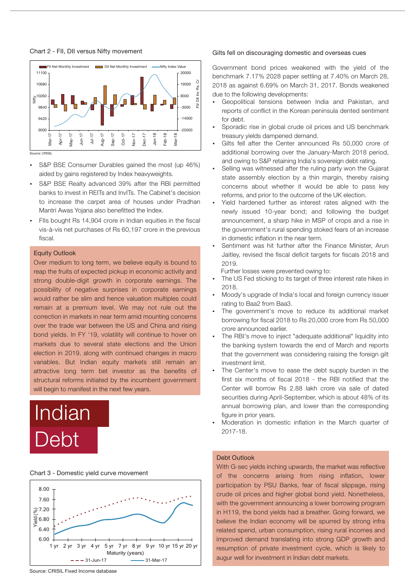Chart 2 - FII, DII versus Nifty movement



Source: CRISIL

- S&P BSE Consumer Durables gained the most (up 46%)
- ?aided by gains registered by Index heavyweights. S&P BSE Realty advanced 39% after the RBI permitted banks to invest in REITs and InvITs. The Cabinet's decision to increase the carpet area of houses under Pradhan
- ?Mantri Awas Yojana also benefitted the Index. FIIs bought Rs 14,904 crore in Indian equities in the fiscal vis-à-vis net purchases of Rs 60,197 crore in the previous fiscal.

## Equity Outlook

Over medium to long term, we believe equity is bound to reap the fruits of expected pickup in economic activity and strong double-digit growth in corporate earnings. The possibility of negative surprises in corporate earnings would rather be slim and hence valuation multiples could remain at a premium level. We may not rule out the correction in markets in near term amid mounting concerns over the trade war between the US and China and rising bond yields. In FY '19, volatility will continue to hover on markets due to several state elections and the Union election in 2019, along with continued changes in macro variables. But Indian equity markets still remain an attractive long term bet investor as the benefits of structural reforms initiated by the incumbent government will begin to manifest in the next few years.

# Indian Debt

### Chart 3 - Domestic yield curve movement



## Gilts fell on discouraging domestic and overseas cues

Government bond prices weakened with the yield of the benchmark 7.17% 2028 paper settling at 7.40% on March 28, 2018 as against 6.69% on March 31, 2017. Bonds weakened

- due to the following developments:<br>• Geopolitical tensions between India and Pakistan, and reports of conflict in the Korean peninsula dented sentiment
- ?for debt. Sporadic rise in global crude oil prices and US benchmark
- ?treasury yields dampened demand. Gilts fell after the Center announced Rs 50,000 crore of additional borrowing over the January-March 2018 period,
- ?and owing to S&P retaining India's sovereign debt rating. Selling was witnessed after the ruling party won the Gujarat state assembly election by a thin margin, thereby raising concerns about whether it would be able to pass key reforms, and prior to the outcome of the UK election.<br>Yield hardened further as interest rates aligned with the
- newly issued 10-year bond; and following the budget announcement, a sharp hike in MSP of crops and a rise in the government's rural spending stoked fears of an increase
- ?in domestic inflation in the near term. Sentiment was hit further after the Finance Minister, Arun Jaitley, revised the fiscal deficit targets for fiscals 2018 and 2019.<br>Further losses were prevented owing to:

- ?Further losses were prevented owing to: The US Fed sticking to its target of three interest rate hikes in
- ?2018. Moody's upgrade of India's local and foreign currency issuer
- ?rating to Baa2 from Baa3. The government's move to reduce its additional market borrowing for fiscal 2018 to Rs 20,000 crore from Rs 50,000
- ?crore announced earlier. The RBI's move to inject "adequate additional" liquidity into the banking system towards the end of March and reports that the government was considering raising the foreign gilt
- ?investment limit. The Center's move to ease the debt supply burden in the first six months of fiscal 2018 - the RBI notified that the Center will borrow Rs 2.88 lakh crore via sale of dated securities during April-September, which is about 48% of its annual borrowing plan, and lower than the corresponding
- ?figure in prior years. Moderation in domestic inflation in the March quarter of 2017-18.

# Debt Outlook

With G-sec yields inching upwards, the market was reflective the concerns arising from rising inflation, lower participation by PSU Banks, fear of fiscal slippage, rising crude oil prices and higher global bond yield. Nonetheless, with the government announcing a lower borrowing program in H119, the bond yields had a breather. Going forward, we believe the Indian economy will be spurred by strong infra related spend, urban consumption, rising rural incomes and improved demand translating into strong GDP growth and resumption of private investment cycle, which is likely to augur well for investment in Indian debt markets.

Source: CRISIL Fixed Income database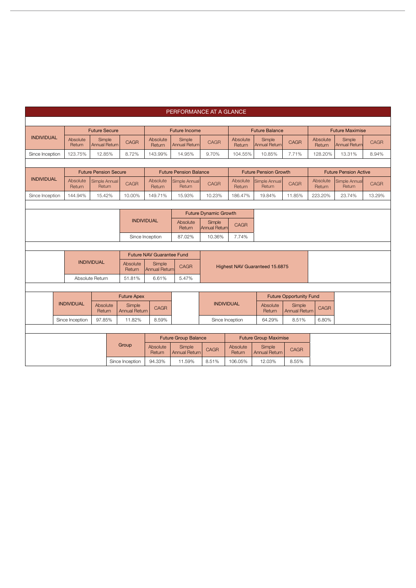|                   |  |                    |                                |  |                                |                                  | PERFORMANCE AT A GLANCE        |                              |                    |                                |                                |                    |                              |             |  |
|-------------------|--|--------------------|--------------------------------|--|--------------------------------|----------------------------------|--------------------------------|------------------------------|--------------------|--------------------------------|--------------------------------|--------------------|------------------------------|-------------|--|
|                   |  |                    |                                |  |                                |                                  |                                |                              |                    |                                |                                |                    |                              |             |  |
|                   |  |                    | <b>Future Secure</b>           |  |                                |                                  | <b>Future Income</b>           |                              |                    | <b>Future Balance</b>          |                                |                    | <b>Future Maximise</b>       |             |  |
| <b>INDIVIDUAL</b> |  | Absolute<br>Return | Simple<br><b>Annual Return</b> |  | <b>CAGR</b>                    | Absolute<br>Return               | Simple<br><b>Annual Return</b> | CAGR                         | Absolute<br>Return | Simple<br>Annual Return        | <b>CAGR</b>                    | Absolute<br>Return | Simple<br>Annual Return      | <b>CAGR</b> |  |
| Since Inception   |  | 123.75%            | 12.85%                         |  | 8.72%                          | 143.99%                          | 14.95%                         | 9.70%                        | 104.55%            | 10.85%                         | 7.71%                          | 128.20%            | 13.31%                       | 8.94%       |  |
|                   |  |                    |                                |  |                                |                                  |                                |                              |                    |                                |                                |                    |                              |             |  |
|                   |  |                    | <b>Future Pension Secure</b>   |  |                                |                                  | <b>Future Pension Balance</b>  |                              |                    | <b>Future Pension Growth</b>   |                                |                    | <b>Future Pension Active</b> |             |  |
| <b>INDIVIDUAL</b> |  | Absolute<br>Return | Simple Annual<br>Return        |  | <b>CAGR</b>                    | Absolute<br>Return               | Simple Annual<br>Return        | <b>CAGR</b>                  | Absolute<br>Return | Simple Annual<br>Return        | <b>CAGR</b>                    | Absolute<br>Return | Simple Annual<br>Return      | CAGR        |  |
| Since Inception   |  | 144.94%            | 15.42%                         |  | 10.00%                         | 149.71%                          | 15.93%                         | 10.23%                       | 186.47%            | 19.84%                         | 11.85%                         | 223.20%            | 23.74%                       | 13.29%      |  |
|                   |  |                    |                                |  |                                |                                  |                                |                              |                    |                                |                                |                    |                              |             |  |
|                   |  |                    |                                |  |                                |                                  |                                | <b>Future Dynamic Growth</b> |                    |                                |                                |                    |                              |             |  |
|                   |  |                    |                                |  | <b>INDIVIDUAL</b>              | Absolute<br>Return               | Simple<br><b>Annual Return</b> | CAGR                         |                    |                                |                                |                    |                              |             |  |
|                   |  |                    |                                |  |                                | Since Inception                  | 87.02%                         | 10.36%                       | 7.74%              |                                |                                |                    |                              |             |  |
|                   |  |                    |                                |  |                                |                                  |                                |                              |                    |                                |                                |                    |                              |             |  |
|                   |  |                    |                                |  |                                | <b>Future NAV Guarantee Fund</b> |                                |                              |                    |                                |                                |                    |                              |             |  |
|                   |  |                    | <b>INDIVIDUAL</b>              |  | Absolute<br>Return             | Simple<br><b>Annual Return</b>   | <b>CAGR</b>                    |                              |                    | Highest NAV Guaranteed 15.6875 |                                |                    |                              |             |  |
|                   |  |                    | Absolute Return                |  | 51.81%                         | 6.61%                            | 5.47%                          |                              |                    |                                |                                |                    |                              |             |  |
|                   |  |                    |                                |  |                                |                                  |                                |                              |                    |                                |                                |                    |                              |             |  |
|                   |  |                    |                                |  | <b>Future Apex</b>             |                                  |                                |                              |                    |                                | <b>Future Opportunity Fund</b> |                    |                              |             |  |
|                   |  | <b>INDIVIDUAL</b>  | Absolute<br>Return             |  | Simple<br><b>Annual Return</b> | <b>CAGR</b>                      |                                | <b>INDIVIDUAL</b>            |                    | Absolute<br>Return             | Simple<br><b>Annual Return</b> | <b>CAGR</b>        |                              |             |  |
|                   |  | Since Inception    | 97.85%                         |  | 11.82%                         | 8.59%                            |                                |                              | Since Inception    | 64.29%                         | 8.51%                          | 6.80%              |                              |             |  |
|                   |  |                    |                                |  |                                |                                  |                                |                              |                    |                                |                                |                    |                              |             |  |
|                   |  |                    |                                |  |                                |                                  | <b>Future Group Balance</b>    |                              |                    | <b>Future Group Maximise</b>   |                                |                    |                              |             |  |
|                   |  |                    |                                |  | Group                          | Absolute<br>Return               | Simple<br><b>Annual Return</b> | CAGR                         | Absolute<br>Return | Simple<br><b>Annual Return</b> | <b>CAGR</b>                    |                    |                              |             |  |
|                   |  |                    |                                |  | Since Inception                | 94.33%                           | 11.59%                         | 8.51%                        | 106.05%            | 12.03%                         | 8.55%                          |                    |                              |             |  |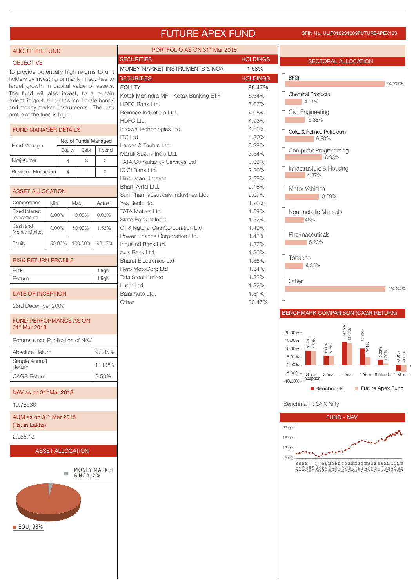# FUTURE APEX FUND SFIN NO. ULIF010231209FUTUREAPEX133

| <b>ABOUT THE FUND</b>                                                                  |                |                  |         |                      | PORTFOLIO AS ON 31 <sup>st</sup> Mar 2018                 |                 |                                                                   |
|----------------------------------------------------------------------------------------|----------------|------------------|---------|----------------------|-----------------------------------------------------------|-----------------|-------------------------------------------------------------------|
| <b>OBJECTIVE</b>                                                                       |                |                  |         |                      | <b>SECURITIES</b>                                         | <b>HOLDINGS</b> | SECTORAL ALLOCATION                                               |
| To provide potentially high returns to unit                                            |                |                  |         |                      | MONEY MARKET INSTRUMENTS & NCA                            | 1.53%           |                                                                   |
| holders by investing primarily in equities to                                          |                |                  |         |                      | <b>SECURITIES</b>                                         | <b>HOLDINGS</b> | <b>BFSI</b>                                                       |
| target growth in capital value of assets.                                              |                |                  |         |                      | <b>EQUITY</b>                                             | 98.47%          | 24.20%                                                            |
| The fund will also invest, to a certain                                                |                |                  |         |                      | Kotak Mahindra MF - Kotak Banking ETF                     | 6.64%           | <b>Chemical Products</b>                                          |
| extent, in govt. securities, corporate bonds<br>and money market instruments. The risk |                |                  |         |                      | HDFC Bank Ltd.                                            | 5.67%           | $4.01\%$                                                          |
| profile of the fund is high.                                                           |                |                  |         |                      | Reliance Industries Ltd.                                  | 4.95%           | Civil Engineering                                                 |
|                                                                                        |                |                  |         |                      | HDFC Ltd.                                                 | 4.93%           | 6.88%                                                             |
| <b>FUND MANAGER DETAILS</b>                                                            |                |                  |         |                      | Infosys Technologies Ltd.<br><b>ITC Ltd.</b>              | 4.62%<br>4.30%  | Coke & Refined Petroleum                                          |
| Fund Manager                                                                           |                |                  |         | No. of Funds Managed | Larsen & Toubro Ltd.                                      | 3.99%           | 6.88%                                                             |
|                                                                                        |                | Equity           | Debt    | Hybrid               | Maruti Suzuki India Ltd.                                  | 3.34%           | <b>Computer Programming</b>                                       |
| Niraj Kumar                                                                            |                | $\overline{4}$   | 3       | $\overline{7}$       | TATA Consultancy Services Ltd.                            | 3.09%           | 8.93%                                                             |
| Biswarup Mohapatra                                                                     |                | $\overline{A}$   |         | $\overline{7}$       | <b>ICICI Bank Ltd.</b>                                    | 2.80%           | Infrastructure & Housing                                          |
|                                                                                        |                |                  |         |                      | Hindustan Unilever                                        | 2.29%           | 4.87%                                                             |
| <b>ASSET ALLOCATION</b>                                                                |                |                  |         |                      | Bharti Airtel Ltd.                                        | 2.16%           | Motor Vehicles                                                    |
|                                                                                        |                |                  |         |                      | Sun Pharmaceuticals Industries Ltd.                       | 2.07%           | 8.09%                                                             |
| Composition                                                                            | Min.           | Max.             |         | Actual               | Yes Bank Ltd.                                             | 1.76%           |                                                                   |
| <b>Fixed Interest</b><br>Investments                                                   | $0.00\%$       |                  | 40.00%  | $0.00\%$             | <b>TATA Motors Ltd.</b>                                   | 1.59%           | Non-metallic Minerals                                             |
| Cash and                                                                               | $0.00\%$       |                  | 50.00%  | 1.53%                | State Bank of India<br>Oil & Natural Gas Corporation Ltd. | 1.52%<br>1.49%  | .46%                                                              |
| Money Market                                                                           |                |                  |         |                      | Power Finance Corporation Ltd.                            | 1.43%           | Pharmaceuticals                                                   |
| Equity                                                                                 | 50.00%         |                  | 100.00% | 98.47%               | IndusInd Bank Ltd.                                        | 1.37%           | 5.23%                                                             |
|                                                                                        |                |                  |         |                      | Axis Bank Ltd.                                            | 1.36%           |                                                                   |
| <b>RISK RETURN PROFILE</b>                                                             |                |                  |         |                      | <b>Bharat Electronics Ltd.</b>                            | 1.36%           | Tobacco                                                           |
| Risk                                                                                   |                |                  |         | High                 | Hero MotoCorp Ltd.                                        | 1.34%           | 4.30%                                                             |
| Return                                                                                 |                |                  |         | High                 | <b>Tata Steel Limited</b>                                 | 1.32%           | Other                                                             |
|                                                                                        |                |                  |         |                      | Lupin Ltd.                                                | 1.32%           | 24.34%                                                            |
| DATE OF INCEPTION                                                                      |                |                  |         |                      | Bajaj Auto Ltd.                                           | 1.31%           |                                                                   |
| 23rd December 2009                                                                     |                |                  |         |                      | Other                                                     | 30.47%          |                                                                   |
|                                                                                        |                |                  |         |                      |                                                           |                 | BENCHMARK COMPARISON (CAGR RETURN)                                |
| <b>FUND PERFORMANCE AS ON</b><br>31 <sup>st</sup> Mar 2018                             |                |                  |         |                      |                                                           |                 |                                                                   |
|                                                                                        |                |                  |         |                      |                                                           |                 | 14.32%<br>13.43%<br>10.25%<br>20.00%                              |
| Returns since Publication of NAV                                                       |                |                  |         |                      |                                                           |                 | 8.92%<br>8.59%<br>15.00%<br>.04%<br>,00%<br>70%                   |
| Absolute Return                                                                        |                |                  |         | 97.85%               |                                                           |                 | 10.00%<br>$ 3.32\%$<br>ம்<br>$-3.61\%$<br>$-4.11\%$               |
| Simple Annual                                                                          |                |                  |         | 11.82%               |                                                           |                 | 5.00%<br>0.00%                                                    |
| Return                                                                                 |                |                  |         |                      |                                                           |                 | $-5.00\%$<br>2 Year<br>1 Year 6 Months 1 Month<br>Since<br>3 Year |
| <b>CAGR Return</b>                                                                     |                |                  |         | 8.59%                |                                                           |                 | Inception<br>$-10.00\%$                                           |
| NAV as on 31 <sup>st</sup> Mar 2018                                                    |                |                  |         |                      |                                                           |                 | Future Apex Fund<br><b>Benchmark</b>                              |
| 19.78536                                                                               |                |                  |         |                      |                                                           |                 | Benchmark: CNX Nifty                                              |
| AUM as on 31 <sup>st</sup> Mar 2018                                                    |                |                  |         |                      |                                                           |                 | <b>FUND - NAV</b>                                                 |
|                                                                                        | (Rs. in Lakhs) |                  |         |                      |                                                           |                 | 23.00                                                             |
| 2,056.13                                                                               |                |                  |         |                      |                                                           |                 | 18.00                                                             |
|                                                                                        |                | ASSET ALLOCATION |         |                      |                                                           |                 | 13.00                                                             |

8.00

Mar-10 Jun-10 Sep-10 Dec-10 Mar-11 Jun-11 Sep-11 Dec-11 Mar-12 Jun-12 Sep-12 Dec-12 Mar-13 Jun-13 Sep-13 Dec-13 Mar-14 Jun-14 Sep-14 Dec-14 Mar-15 Jun-15 Sep-15 Dec-15 Mar-16 Jun-16 Sep-16 Dec-16 Mar-17 Jun-17 Sep-17 Dec-17 Mar-18

### ASSET ALLOCATION

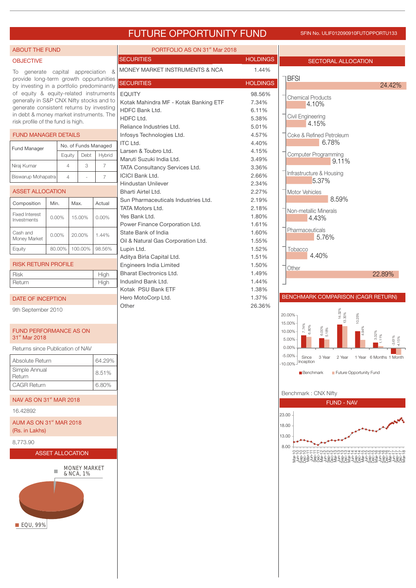# FUTURE OPPORTUNITY FUND SFIN NO. ULIF012090910FUTOPPORTU133

| <b>ABOUT THE FUND</b>                                                                                                                                                                                                                                       |                                                       |                |                     |                                                                     | PORTFOLIO AS ON 31 <sup>st</sup> Mar 2018                                             |                                        |                                                                                                                             |
|-------------------------------------------------------------------------------------------------------------------------------------------------------------------------------------------------------------------------------------------------------------|-------------------------------------------------------|----------------|---------------------|---------------------------------------------------------------------|---------------------------------------------------------------------------------------|----------------------------------------|-----------------------------------------------------------------------------------------------------------------------------|
| <b>OBJECTIVE</b>                                                                                                                                                                                                                                            |                                                       |                |                     |                                                                     | <b>SECURITIES</b>                                                                     | <b>HOLDINGS</b>                        | <b>SECTORAL ALLOCATION</b>                                                                                                  |
| To generate capital appreciation<br>provide long-term growth oppurtunities                                                                                                                                                                                  |                                                       |                |                     | - 8                                                                 | MONEY MARKET INSTRUMENTS & NCA<br><b>SECURITIES</b>                                   | 1.44%<br><b>HOLDINGS</b>               | <b>BFSI</b><br>24.42%                                                                                                       |
| by investing in a portfolio predominantly<br>of equity & equity-related instruments<br>generally in S&P CNX Nifty stocks and to<br>generate consistent returns by investing<br>in debt & money market instruments. The<br>risk profile of the fund is high. |                                                       |                |                     |                                                                     | <b>EQUITY</b><br>Kotak Mahindra MF - Kotak Banking ETF<br>HDFC Bank Ltd.<br>HDFC Ltd. | 98.56%<br>7.34%<br>6.11%<br>5.38%      | <b>Chemical Products</b><br>4.10%<br>Civil Engineering<br>4.15%                                                             |
| <b>FUND MANAGER DETAILS</b>                                                                                                                                                                                                                                 |                                                       |                |                     |                                                                     | Reliance Industries Ltd.<br>Infosys Technologies Ltd.                                 | 5.01%<br>4.57%                         | Coke & Refined Petroleum                                                                                                    |
| Fund Manager                                                                                                                                                                                                                                                | No. of Funds Managed<br>Hybrid<br>Debt<br>Equity      |                |                     | <b>ITC Ltd.</b><br>Larsen & Toubro Ltd.<br>Maruti Suzuki India Ltd. | 4.40%<br>4.15%<br>3.49%                                                               | 6.78%<br>Computer Programming<br>9.11% |                                                                                                                             |
| Niraj Kumar                                                                                                                                                                                                                                                 |                                                       | $\overline{4}$ | 3                   | $\overline{7}$                                                      | TATA Consultancy Services Ltd.                                                        | 3.36%                                  |                                                                                                                             |
| Biswarup Mohapatra                                                                                                                                                                                                                                          |                                                       | $\overline{4}$ |                     | $\overline{7}$                                                      | <b>ICICI Bank Ltd.</b><br><b>Hindustan Unilever</b>                                   | 2.66%<br>2.34%                         | Infrastructure & Housing<br>5.37%                                                                                           |
| <b>ASSET ALLOCATION</b>                                                                                                                                                                                                                                     |                                                       |                |                     |                                                                     | Bharti Airtel Ltd.                                                                    | 2.27%                                  | Motor Vehicles                                                                                                              |
| Composition                                                                                                                                                                                                                                                 | Min.                                                  | Max.           |                     | Actual                                                              | Sun Pharmaceuticals Industries Ltd.                                                   | 2.19%                                  | 8.59%                                                                                                                       |
| <b>Fixed Interest</b><br>Investments                                                                                                                                                                                                                        | 0.00%                                                 | 15.00%         |                     | 0.00%                                                               | <b>TATA Motors Ltd.</b><br>Yes Bank Ltd.<br>Power Finance Corporation Ltd.            | 2.18%<br>1.80%<br>1.61%                | Non-metallic Minerals<br>4.43%                                                                                              |
| Cash and<br>Money Market                                                                                                                                                                                                                                    | $0.00\%$                                              | 20.00%         |                     | 1.44%                                                               | State Bank of India                                                                   | 1.60%                                  | Pharmaceuticals<br>5.76%                                                                                                    |
| Equity                                                                                                                                                                                                                                                      | 80.00%                                                |                | 100.00%             | 98.56%                                                              | Oil & Natural Gas Corporation Ltd.<br>Lupin Ltd.                                      | 1.55%<br>1.52%                         | Tobacco                                                                                                                     |
| <b>RISK RETURN PROFILE</b>                                                                                                                                                                                                                                  |                                                       |                |                     |                                                                     | Aditya Birla Capital Ltd.<br>Engineers India Limited                                  | 1.51%<br>1.50%                         | 4.40%<br>Other                                                                                                              |
| Risk                                                                                                                                                                                                                                                        | High                                                  |                |                     |                                                                     | <b>Bharat Electronics Ltd.</b>                                                        | 1.49%                                  | 22.89%                                                                                                                      |
| Return                                                                                                                                                                                                                                                      |                                                       |                |                     | High                                                                | IndusInd Bank Ltd.                                                                    | 1.44%<br>1.38%                         |                                                                                                                             |
| DATE OF INCEPTION                                                                                                                                                                                                                                           |                                                       |                |                     |                                                                     | Kotak PSU Bank ETF<br>Hero MotoCorp Ltd.                                              | 1.37%                                  | BENCHMARK COMPARISON (CAGR RETURN)                                                                                          |
| 9th September 2010                                                                                                                                                                                                                                          |                                                       |                |                     |                                                                     | Other                                                                                 | 26.36%                                 | 14.32%<br>13.30%<br>20.00%-<br>10.25%                                                                                       |
| <b>FUND PERFORMANCE AS ON</b><br>31 <sup>st</sup> Mar 2018                                                                                                                                                                                                  |                                                       |                |                     |                                                                     |                                                                                       |                                        | 15.00%<br>7.74%<br>6.80%<br>$6.00\%$<br>$5.18\%$<br>10.00%-<br>$-3.61\%$<br>4.15%<br>5.00%                                  |
| Returns since Publication of NAV                                                                                                                                                                                                                            |                                                       |                |                     |                                                                     |                                                                                       |                                        | 0.00%<br>$-5.00\%$                                                                                                          |
| Absolute Return                                                                                                                                                                                                                                             |                                                       |                |                     | 64.29%                                                              |                                                                                       |                                        | Since<br>3 Year<br>2 Year 1 Year 6 Months 1 Month<br>$-10.00\%$ Inception                                                   |
| Simple Annual<br>Return                                                                                                                                                                                                                                     |                                                       |                |                     | 8.51%                                                               |                                                                                       |                                        | Benchmark<br>Future Opportunity Fund                                                                                        |
| <b>CAGR Return</b>                                                                                                                                                                                                                                          |                                                       |                |                     | 6.80%                                                               |                                                                                       |                                        | Benchmark: CNX Nifty                                                                                                        |
| NAV AS ON 31 <sup>st</sup> MAR 2018                                                                                                                                                                                                                         |                                                       |                |                     |                                                                     |                                                                                       |                                        | <b>FUND - NAV</b>                                                                                                           |
| 16.42892                                                                                                                                                                                                                                                    |                                                       |                |                     |                                                                     |                                                                                       |                                        | 23.00                                                                                                                       |
|                                                                                                                                                                                                                                                             | AUM AS ON 31 <sup>st</sup> MAR 2018<br>(Rs. in Lakhs) |                |                     |                                                                     |                                                                                       |                                        | 18.00<br>13.00                                                                                                              |
| 8,773.90                                                                                                                                                                                                                                                    |                                                       |                |                     |                                                                     |                                                                                       |                                        | 8.00                                                                                                                        |
| <b>ASSET ALLOCATION</b>                                                                                                                                                                                                                                     |                                                       |                |                     |                                                                     |                                                                                       |                                        | ⊑aaaawwww <del>a 444</del> wwww@@@<br>ၜၟၣၛၟၟၛၟၛၟၣၛၟၛၛၟၛၛၛၟၛၟၛၛၟၛၛၛၟၛၛၟၛၛၟၛၛၟၛၛၛ<br>ၜႍၛၯၟၯၟၯၟၯၟၯၟၯၯၟၣၯၯၟၣၯၯၟၣၯၯၟၣၯၯၟၣၯၟၯၟၣၜၟ |
| ■ EQU, 99%                                                                                                                                                                                                                                                  |                                                       | & NCA, 1%      | <b>MONEY MARKET</b> |                                                                     |                                                                                       |                                        |                                                                                                                             |
|                                                                                                                                                                                                                                                             |                                                       |                |                     |                                                                     |                                                                                       |                                        |                                                                                                                             |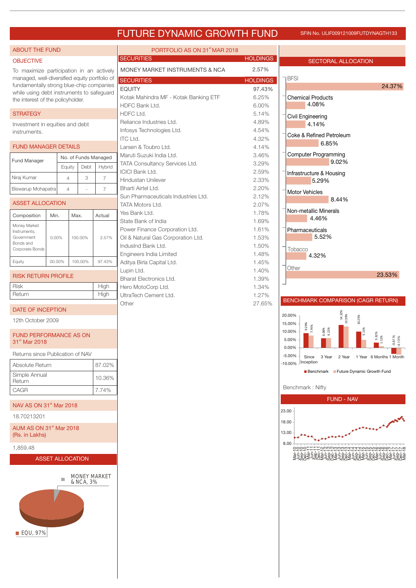# FUTURE DYNAMIC GROWTH FUND SFIN NO. ULIF009121009FUTDYNAGTH133

| <b>ABOUT THE FUND</b>                                                                     |        |                         |                | PORTFOLIO AS ON 31 <sup>st</sup> MAR 2018             |                 |                                                         |                  |
|-------------------------------------------------------------------------------------------|--------|-------------------------|----------------|-------------------------------------------------------|-----------------|---------------------------------------------------------|------------------|
| <b>OBJECTIVE</b>                                                                          |        |                         |                | <b>SECURITIES</b>                                     | <b>HOLDINGS</b> | <b>SECTORAL ALLOCATION</b>                              |                  |
| To maximize participation in an actively                                                  |        |                         |                | MONEY MARKET INSTRUMENTS & NCA                        | 2.57%           |                                                         |                  |
| managed, well-diversified equity portfolio of<br>fundamentally strong blue-chip companies |        |                         |                | <b>SECURITIES</b>                                     | <b>HOLDINGS</b> | <b>BFSI</b>                                             |                  |
| while using debt instruments to safeguard                                                 |        |                         |                | <b>EQUITY</b>                                         | 97.43%          |                                                         |                  |
| the interest of the policyholder.                                                         |        |                         |                | Kotak Mahindra MF - Kotak Banking ETF                 | 6.25%           | <b>Chemical Products</b>                                |                  |
|                                                                                           |        |                         |                | HDFC Bank Ltd.                                        | 6.00%           | 4.08%                                                   |                  |
| <b>STRATEGY</b>                                                                           |        |                         |                | HDFC Ltd.                                             | 5.14%           | Civil Engineering                                       |                  |
| Investment in equities and debt                                                           |        |                         |                | Reliance Industries Ltd.<br>Infosys Technologies Ltd. | 4.89%<br>4.54%  | 4.14%                                                   |                  |
| instruments.                                                                              |        |                         |                | <b>ITC Ltd.</b>                                       | 4.32%           | Coke & Refined Petroleum                                |                  |
| <b>FUND MANAGER DETAILS</b>                                                               |        |                         |                | Larsen & Toubro Ltd.                                  | 4.14%           | 6.85%                                                   |                  |
|                                                                                           |        | No. of Funds Managed    |                | Maruti Suzuki India Ltd.                              | 3.46%           | <b>Computer Programming</b>                             |                  |
| Fund Manager                                                                              | Equity | Debt                    | Hybrid         | TATA Consultancy Services Ltd.                        | 3.29%           | 9.02%                                                   |                  |
|                                                                                           |        |                         |                | <b>ICICI Bank Ltd.</b>                                | 2.59%           | Infrastructure & Housing                                |                  |
| Niraj Kumar                                                                               |        | 3<br>$\overline{4}$     | $\overline{7}$ | Hindustan Unilever                                    | 2.33%           | 5.29%                                                   |                  |
| Biswarup Mohapatra                                                                        |        | $\overline{4}$          | $\overline{7}$ | Bharti Airtel Ltd.                                    | 2.20%           | Motor Vehicles                                          |                  |
| <b>ASSET ALLOCATION</b>                                                                   |        |                         |                | Sun Pharmaceuticals Industries Ltd.                   | 2.12%           | 8.44%                                                   |                  |
|                                                                                           |        |                         |                | TATA Motors Ltd.<br>Yes Bank Ltd.                     | 2.07%<br>1.78%  | Non-metallic Minerals                                   |                  |
| Composition                                                                               | Min.   | Max.                    | Actual         | State Bank of India                                   | 1.69%           | 4.46%                                                   |                  |
| Money Market                                                                              |        |                         |                | Power Finance Corporation Ltd.                        | 1.61%           | Pharmaceuticals                                         |                  |
| Instruments,<br>Government                                                                | 0.00%  | 100.00%                 | 2.57%          | Oil & Natural Gas Corporation Ltd.                    | 1.53%           | 5.52%                                                   |                  |
| Bonds and                                                                                 |        |                         |                | IndusInd Bank Ltd.                                    | 1.50%           |                                                         |                  |
| Corporate Bonds                                                                           |        |                         |                | Engineers India Limited                               | 1.48%           | Tobacco<br>4.32%                                        |                  |
| Equity                                                                                    | 00.00% | 100.00%                 | 97.43%         | Aditya Birla Capital Ltd.                             | 1.45%           |                                                         |                  |
|                                                                                           |        |                         |                | Lupin Ltd.                                            | 1.40%           | Other                                                   |                  |
| <b>RISK RETURN PROFILE</b>                                                                |        |                         |                | <b>Bharat Electronics Ltd.</b>                        | 1.39%           |                                                         |                  |
| <b>Risk</b><br>Return                                                                     |        |                         | High           | Hero MotoCorp Ltd.                                    | 1.34%           |                                                         |                  |
|                                                                                           |        |                         | High           | UltraTech Cement Ltd.                                 | 1.27%           | BENCHMARK COMPARISON (CAGR RETURN)                      |                  |
| DATE OF INCEPTION                                                                         |        |                         |                | Other                                                 | 27.65%          |                                                         |                  |
| 12th October 2009                                                                         |        |                         |                |                                                       |                 | 20.00%                                                  | 14.32%<br>13.39% |
|                                                                                           |        |                         |                |                                                       |                 | 15.00%<br>7.74%                                         |                  |
| <b>FUND PERFORMANCE AS ON</b>                                                             |        |                         |                |                                                       |                 | 6.00%<br>6.21%<br>10.00%<br>5.00%                       |                  |
| 31 <sup>st</sup> Mar 2018                                                                 |        |                         |                |                                                       |                 | 0.00%                                                   |                  |
| Returns since Publication of NAV                                                          |        |                         |                |                                                       |                 | $-5.00%$<br>Since 3 Year 2 Year 1 Year 6 Months 1 Month |                  |
| Absolute Return                                                                           |        |                         | 87.02%         |                                                       |                 | -10.00% Inception                                       |                  |
| Simple Annual                                                                             |        |                         |                |                                                       |                 | Benchmark Future Dynamic Growth Fund                    |                  |
| Return                                                                                    |        |                         | 10.36%         |                                                       |                 |                                                         |                  |
| CAGR                                                                                      |        |                         | 7.74%          |                                                       |                 | Benchmark: Nifty                                        |                  |
|                                                                                           |        |                         |                |                                                       |                 | <b>FUND - NAV</b>                                       |                  |
| NAV AS ON 31 <sup>st</sup> Mar 2018                                                       |        |                         |                |                                                       |                 | 23.00                                                   |                  |
| 18.70213201                                                                               |        |                         |                |                                                       |                 | 18.00                                                   |                  |
| AUM AS ON 31 <sup>st</sup> Mar 2018                                                       |        |                         |                |                                                       |                 |                                                         |                  |
| (Rs. in Lakhs)                                                                            |        |                         |                |                                                       |                 | 13.00                                                   |                  |
| 1,859.48                                                                                  |        |                         |                |                                                       |                 | 8.00<br>-000000000044440000000000000000<br>0000-        |                  |
|                                                                                           |        | <b>ASSET ALLOCATION</b> |                |                                                       |                 | <u>ŽAØNZZA JA ZAVAŽA JA ZAVAŽA JA ZAVAŽA ZAVAŽ</u>      |                  |
|                                                                                           |        |                         |                |                                                       |                 |                                                         |                  |
|                                                                                           |        | <b>MONEY MARKET</b>     |                |                                                       |                 |                                                         |                  |
|                                                                                           |        | & NCA, 3%               |                |                                                       |                 |                                                         |                  |
|                                                                                           |        |                         |                |                                                       |                 |                                                         |                  |
|                                                                                           |        |                         |                |                                                       |                 |                                                         |                  |
|                                                                                           |        |                         |                |                                                       |                 |                                                         |                  |
|                                                                                           |        |                         |                |                                                       |                 |                                                         |                  |
|                                                                                           |        |                         |                |                                                       |                 |                                                         |                  |
| <b>EQU, 97%</b>                                                                           |        |                         |                |                                                       |                 |                                                         |                  |
|                                                                                           |        |                         |                |                                                       |                 |                                                         |                  |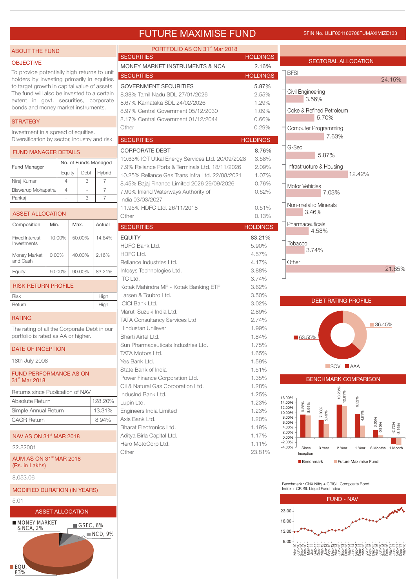# FUTURE MAXIMISE FUND SFIN NO. ULIF004180708FUMAXIMIZE133

| <b>ABOUT THE FUND</b>                                                                       |                          |      |           |                          | PORTFOLIO AS ON 31 <sup>st</sup> Mar 2018                         |                 |                                                                                  |
|---------------------------------------------------------------------------------------------|--------------------------|------|-----------|--------------------------|-------------------------------------------------------------------|-----------------|----------------------------------------------------------------------------------|
| <b>OBJECTIVE</b>                                                                            |                          |      |           |                          | <b>SECURITIES</b>                                                 | <b>HOLDINGS</b> | <b>SECTORAL ALLOCATION</b>                                                       |
| To provide potentially high returns to unit                                                 |                          |      |           |                          | MONEY MARKET INSTRUMENTS & NCA                                    | 2.16%           | <b>BFSI</b>                                                                      |
| holders by investing primarily in equities                                                  |                          |      |           |                          | <b>SECURITIES</b>                                                 | <b>HOLDINGS</b> | 24.15%                                                                           |
| to target growth in capital value of assets.<br>The fund will also be invested to a certain |                          |      |           |                          | <b>GOVERNMENT SECURITIES</b>                                      | 5.87%           | Civil Engineering                                                                |
| extent in govt. securities, corporate                                                       |                          |      |           |                          | 8.38% Tamil Nadu SDL 27/01/2026<br>8.67% Karnataka SDL 24/02/2026 | 2.55%<br>1.29%  | 3.56%                                                                            |
| bonds and money market instruments.                                                         |                          |      |           |                          | 8.97% Central Government 05/12/2030                               | 1.09%           | Coke & Refined Petroleum                                                         |
| <b>STRATEGY</b>                                                                             |                          |      |           |                          | 8.17% Central Government 01/12/2044                               | 0.66%           | 5.70%                                                                            |
| Investment in a spread of equities.                                                         |                          |      |           |                          | Other                                                             | 0.29%           | Computer Programming                                                             |
| Diversification by sector, industry and risk.                                               |                          |      |           |                          | <b>SECURITIES</b>                                                 | <b>HOLDINGS</b> | 7.63%                                                                            |
| <b>FUND MANAGER DETAILS</b>                                                                 |                          |      |           |                          | <b>CORPORATE DEBT</b>                                             | 8.76%           | G-Sec                                                                            |
|                                                                                             |                          |      |           |                          | 10.63% IOT Utkal Energy Services Ltd. 20/09/2028                  | 3.58%           | 5.87%                                                                            |
| Fund Manager                                                                                |                          |      |           | No. of Funds Managed     | 7.9% Reliance Ports & Terminals Ltd. 18/11/2026                   | 2.09%           | Infrastructure & Housing                                                         |
| Niraj Kumar                                                                                 | Equity<br>$\overline{4}$ |      | Debt<br>3 | Hybrid<br>$\overline{7}$ | 10.25% Reliance Gas Trans Infra Ltd. 22/08/2021                   | 1.07%           | 12.42%                                                                           |
| Biswarup Mohapatra                                                                          | $\overline{4}$           |      |           | $\overline{7}$           | 8.45% Bajaj Finance Limited 2026 29/09/2026                       | 0.76%           | <b>Motor Vehicles</b>                                                            |
| Pankaj                                                                                      |                          |      | 3         | $\overline{7}$           | 7.90% Inland Waterways Authority of<br>India 03/03/2027           | 0.62%           | 7.03%                                                                            |
|                                                                                             |                          |      |           |                          | 11.95% HDFC Ltd. 26/11/2018                                       | 0.51%           | Non-metallic Minerals                                                            |
| <b>ASSET ALLOCATION</b>                                                                     |                          |      |           |                          | Other                                                             | 0.13%           | 3.46%                                                                            |
| Composition                                                                                 | Min.                     | Max. |           | Actual                   | <b>SECURITIES</b>                                                 | <b>HOLDINGS</b> | Pharmaceuticals                                                                  |
| <b>Fixed Interest</b>                                                                       | 10.00%                   |      | 50.00%    | 14.64%                   | <b>EQUITY</b>                                                     | 83.21%          | 4.58%                                                                            |
| Investments                                                                                 |                          |      |           |                          | HDFC Bank Ltd.                                                    | 5.90%           | Tobacco                                                                          |
| Money Market                                                                                | $0.00\%$                 |      | 40.00%    | 2.16%                    | HDFC Ltd.                                                         | 4.57%           | 3.74%                                                                            |
| and Cash                                                                                    |                          |      |           |                          | Reliance Industries Ltd.                                          | 4.17%           | Other                                                                            |
| Equity                                                                                      | 50.00%                   |      | 90.00%    | 83.21%                   | Infosys Technologies Ltd.                                         | 3.88%           | 21.85%                                                                           |
| <b>RISK RETURN PROFILE</b>                                                                  |                          |      |           |                          | <b>ITC Ltd.</b>                                                   | 3.74%<br>3.62%  |                                                                                  |
| <b>Risk</b>                                                                                 |                          |      |           | High                     | Kotak Mahindra MF - Kotak Banking ETF<br>Larsen & Toubro Ltd.     | 3.50%           |                                                                                  |
| Return                                                                                      |                          |      |           | High                     | <b>ICICI Bank Ltd.</b>                                            | 3.02%           | <b>DEBT RATING PROFILE</b>                                                       |
|                                                                                             |                          |      |           |                          | Maruti Suzuki India Ltd.                                          | 2.89%           |                                                                                  |
| <b>RATING</b>                                                                               |                          |      |           |                          | TATA Consultancy Services Ltd.                                    | 2.74%           | 36.45%                                                                           |
| The rating of all the Corporate Debt in our                                                 |                          |      |           |                          | Hindustan Unilever                                                | 1.99%           |                                                                                  |
| portfolio is rated as AA or higher.                                                         |                          |      |           |                          | Bharti Airtel Ltd.<br>Sun Pharmaceuticals Industries Ltd.         | 1.84%<br>1.75%  | $\blacksquare$ 63.55%                                                            |
| DATE OF INCEPTION                                                                           |                          |      |           |                          | TATA Motors Ltd.                                                  | 1.65%           |                                                                                  |
| 18th July 2008                                                                              |                          |      |           |                          | Yes Bank Ltd.                                                     | 1.59%           |                                                                                  |
| <b>FUND PERFORMANCE AS ON</b>                                                               |                          |      |           |                          | State Bank of India                                               | 1.51%           | SOV AAA                                                                          |
| 31 <sup>st</sup> Mar 2018                                                                   |                          |      |           |                          | Power Finance Corporation Ltd.                                    | 1.35%           | <b>BENCHMARK COMPARISON</b>                                                      |
| Returns since Publication of NAV                                                            |                          |      |           |                          | Oil & Natural Gas Corporation Ltd.                                | 1.28%           |                                                                                  |
| Absolute Return                                                                             |                          |      |           | 128.20%                  | IndusInd Bank Ltd.<br>Lupin Ltd.                                  | 1.25%<br>1.23%  | 13.28%<br>12.81%<br>16.00%<br>9.52%<br>14.00%                                    |
| Simple Annual Return                                                                        |                          |      |           | 13.31%                   | Engineers India Limited                                           | 1.23%           | 9.26%<br>8.94%<br>12.00%<br>7.03%<br>10.00%                                      |
| <b>CAGR Return</b>                                                                          |                          |      |           | 8.94%                    | Axis Bank Ltd.                                                    | 1.20%           | 4.81%<br>8.00%<br>3.05%<br>6.00%                                                 |
|                                                                                             |                          |      |           |                          | <b>Bharat Electronics Ltd.</b>                                    | 1.19%           | $0.90\%$<br>$-2.72%$<br>$-3.16%$<br>4.00%<br>2.00%                               |
| NAV AS ON 31 <sup>st</sup> MAR 2018                                                         |                          |      |           |                          | Aditya Birla Capital Ltd.                                         | 1.17%           | 0.00%<br>$-2.00%$                                                                |
| 22.82001                                                                                    |                          |      |           |                          | Hero MotoCorp Ltd.<br>Other                                       | 1.11%<br>23.81% | $-4.00%$<br>Since<br>3 Year<br>2 Year<br>1 Year<br>6 Months 1 Month              |
| AUM AS ON 31 <sup>st</sup> MAR 2018<br>(Rs. in Lakhs)                                       |                          |      |           |                          |                                                                   |                 | Inception<br>Benchmark<br>Future Maximise Fund                                   |
| 8,053.06                                                                                    |                          |      |           |                          |                                                                   |                 |                                                                                  |
| <b>MODIFIED DURATION (IN YEARS)</b>                                                         |                          |      |           |                          |                                                                   |                 | Benchmark: CNX Nifty + CRISIL Composite Bond<br>Index + CRISIL Liquid Fund Index |
| 5.01                                                                                        |                          |      |           |                          |                                                                   |                 | <b>FUND - NAV</b>                                                                |
| <b>ASSET ALLOCATION</b>                                                                     |                          |      |           |                          |                                                                   |                 | 23.00                                                                            |
| <b>MONEY MARKET</b><br>& NCA, 2%                                                            |                          |      | GSEC, 6%  | $\blacksquare$ NCD, 9%   |                                                                   |                 | 18.00<br>13.00<br>8.00<br>OOOOTTTOOOOOOOOO44440000000000                         |
| <b>■EQU</b><br>83%                                                                          |                          |      |           |                          |                                                                   |                 |                                                                                  |
|                                                                                             |                          |      |           |                          |                                                                   |                 |                                                                                  |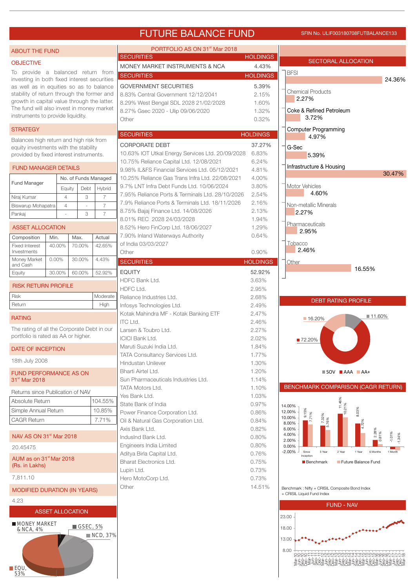# FUTURE BALANCE FUND SFIN NO. ULIF003180708FUTBALANCE133

| <b>ABOUT THE FUND</b>                                                              |                |                         |                         | PORTFOLIO AS ON 31 <sup>st</sup> Mar 2018                   |                 |                                                              |                      |  |  |  |
|------------------------------------------------------------------------------------|----------------|-------------------------|-------------------------|-------------------------------------------------------------|-----------------|--------------------------------------------------------------|----------------------|--|--|--|
| <b>OBJECTIVE</b>                                                                   |                |                         |                         | <b>SECURITIES</b>                                           | <b>HOLDINGS</b> | SECTORAL ALLOCATION                                          |                      |  |  |  |
| To provide a balanced return from                                                  |                |                         |                         | MONEY MARKET INSTRUMENTS & NCA                              | 4.43%           | <b>BFSI</b>                                                  |                      |  |  |  |
| investing in both fixed interest securities                                        |                |                         |                         | <b>SECURITIES</b>                                           | <b>HOLDINGS</b> |                                                              | 24.36%               |  |  |  |
| as well as in equities so as to balance                                            |                |                         |                         | <b>GOVERNMENT SECURITIES</b>                                | 5.39%           |                                                              |                      |  |  |  |
| stability of return through the former and                                         |                |                         |                         | 8.83% Central Government 12/12/2041                         | 2.15%           | <b>Chemical Products</b><br>2.27%                            |                      |  |  |  |
| growth in capital value through the latter.                                        |                |                         |                         | 8.29% West Bengal SDL 2028 21/02/2028                       | 1.60%           |                                                              |                      |  |  |  |
| The fund will also invest in money market<br>instruments to provide liquidity.     |                |                         |                         | 8.27% Gsec 2020 - Ulip 09/06/2020                           | 1.32%           | Coke & Refined Petroleum                                     |                      |  |  |  |
|                                                                                    |                |                         |                         | Other                                                       | 0.32%           | 3.72%                                                        |                      |  |  |  |
| <b>STRATEGY</b>                                                                    |                |                         |                         |                                                             |                 | Computer Programming                                         |                      |  |  |  |
| Balances high return and high risk from                                            |                |                         |                         | <b>SECURITIES</b>                                           | <b>HOLDINGS</b> | 4.97%                                                        |                      |  |  |  |
| equity investments with the stability                                              |                |                         |                         | <b>CORPORATE DEBT</b>                                       | 37.27%          | G-Sec                                                        |                      |  |  |  |
| provided by fixed interest instruments.                                            |                |                         |                         | 10.63% IOT Utkal Energy Services Ltd. 20/09/2028            | 6.83%           | 5.39%                                                        |                      |  |  |  |
|                                                                                    |                |                         |                         | 10.75% Reliance Capital Ltd. 12/08/2021                     | 6.24%           | Infrastructure & Housing                                     |                      |  |  |  |
| <b>FUND MANAGER DETAILS</b>                                                        |                |                         |                         | 9.98% IL&FS Financial Services Ltd. 05/12/2021              | 4.81%           |                                                              | 30.47%               |  |  |  |
| Fund Manager                                                                       |                | No. of Funds Managed    |                         | 10.25% Reliance Gas Trans Infra Ltd. 22/08/2021             | 4.00%           |                                                              |                      |  |  |  |
|                                                                                    |                | Debt<br>Equity          | Hybrid                  | 9.7% LNT Infra Debt Funds Ltd. 10/06/2024                   | 3.80%           | Motor Vehicles                                               |                      |  |  |  |
| Niraj Kumar                                                                        | $\overline{4}$ | 3                       | $\overline{7}$          | 7.95% Reliance Ports & Terminals Ltd. 28/10/2026            | 2.54%           | 4.60%                                                        |                      |  |  |  |
| Biswarup Mohapatra                                                                 | $\overline{4}$ |                         | $\overline{7}$          | 7.9% Reliance Ports & Terminals Ltd. 18/11/2026             | 2.16%           | Non-metallic Minerals                                        |                      |  |  |  |
| Pankaj                                                                             |                | 3                       | $\overline{7}$          | 8.75% Bajaj Finance Ltd. 14/08/2026                         | 2.13%           | 2.27%                                                        |                      |  |  |  |
|                                                                                    |                |                         |                         | 8.01% REC 2028 24/03/2028                                   | 1.94%           | Pharmaceuticals                                              |                      |  |  |  |
| <b>ASSET ALLOCATION</b>                                                            |                |                         |                         | 8.52% Hero FinCorp Ltd. 18/06/2027                          | 1.29%           | 2.95%                                                        |                      |  |  |  |
| Composition                                                                        | Min.           | Max.                    | Actual                  | 7.90% Inland Waterways Authority                            | 0.64%           |                                                              |                      |  |  |  |
| <b>Fixed Interest</b>                                                              | 40.00%         | 70.00%                  | 42.65%                  | of India 03/03/2027                                         |                 | Tobacco<br>2.46%                                             |                      |  |  |  |
| Investments<br>Money Market                                                        | 0.00%          | 30.00%                  | 4.43%                   | Other                                                       | 0.90%           |                                                              |                      |  |  |  |
| and Cash                                                                           |                |                         |                         | <b>SECURITIES</b>                                           | <b>HOLDINGS</b> | Other                                                        |                      |  |  |  |
| Equity                                                                             | 30.00%         | 60.00%                  | 52.92%                  | <b>EQUITY</b>                                               | 52.92%          | 16.55%                                                       |                      |  |  |  |
|                                                                                    |                |                         |                         | HDFC Bank Ltd.                                              | 3.63%           |                                                              |                      |  |  |  |
| <b>RISK RETURN PROFILE</b>                                                         |                |                         |                         | HDFC Ltd.                                                   | 2.95%           |                                                              |                      |  |  |  |
| <b>Risk</b>                                                                        |                |                         | Moderate                | Reliance Industries Ltd.                                    | 2.68%           | <b>DEBT RATING PROFILE</b>                                   |                      |  |  |  |
| Return                                                                             |                |                         | High                    | Infosys Technologies Ltd.                                   | 2.49%           |                                                              |                      |  |  |  |
| <b>RATING</b>                                                                      |                |                         |                         | Kotak Mahindra MF - Kotak Banking ETF                       | 2.47%           | ■ 16.20%                                                     | ■ 11.60%             |  |  |  |
|                                                                                    |                |                         |                         | <b>ITC Ltd.</b>                                             | 2.46%           |                                                              |                      |  |  |  |
| The rating of all the Corporate Debt in our<br>portfolio is rated as AA or higher. |                |                         |                         | Larsen & Toubro Ltd.                                        | 2.27%           |                                                              |                      |  |  |  |
|                                                                                    |                |                         |                         | <b>ICICI Bank Ltd.</b>                                      | 2.02%           | ■72.20%                                                      |                      |  |  |  |
| DATE OF INCEPTION                                                                  |                |                         |                         | Maruti Suzuki India Ltd.                                    | 1.84%           |                                                              |                      |  |  |  |
| 18th July 2008                                                                     |                |                         |                         | TATA Consultancy Services Ltd.<br><b>Hindustan Unilever</b> | 1.77%           |                                                              |                      |  |  |  |
|                                                                                    |                |                         |                         | Bharti Airtel Ltd.                                          | 1.30%<br>1.20%  |                                                              |                      |  |  |  |
| FUND PERFORMANCE AS ON<br>31 <sup>st</sup> Mar 2018                                |                |                         |                         | Sun Pharmaceuticals Industries Ltd.                         | 1.14%           | $\blacksquare$ SOV $\blacksquare$ AAA $\blacksquare$ AA+     |                      |  |  |  |
|                                                                                    |                |                         |                         | TATA Motors Ltd.                                            | 1.10%           | BENCHMARK COMPARISON (CAGR RETURN)                           |                      |  |  |  |
| Returns since Publication of NAV                                                   |                |                         |                         | Yes Bank Ltd.                                               | 1.03%           |                                                              |                      |  |  |  |
| Absolute Return                                                                    |                |                         | 104.55%                 | State Bank of India                                         | 0.97%           | 11.46%                                                       |                      |  |  |  |
| Simple Annual Return                                                               |                |                         | 10.85%                  | Power Finance Corporation Ltd.                              | 0.86%           | 10.21%<br>14.00%<br>8.03%<br>12.00%                          |                      |  |  |  |
| <b>CAGR Return</b>                                                                 |                |                         | 7.71%                   | Oil & Natural Gas Corporation Ltd.                          | 0.84%           | 9.159<br>7.71%<br>$.32\%$<br>76%<br>10.00%                   |                      |  |  |  |
|                                                                                    |                |                         |                         | Axis Bank Ltd.                                              | 0.82%           | 8.00%<br>6.00%                                               |                      |  |  |  |
| NAV AS ON 31 <sup>st</sup> Mar 2018                                                |                |                         |                         | IndusInd Bank Ltd.                                          | 0.80%           | 4.00%                                                        | $-1.01%$<br>$-1.34%$ |  |  |  |
| 20.45475                                                                           |                |                         |                         | Engineers India Limited                                     | 0.80%           | 2.00%<br>0.00%                                               |                      |  |  |  |
|                                                                                    |                |                         |                         | Aditya Birla Capital Ltd.                                   | 0.76%           | $-2.00%$<br>3 Year<br>1 Year<br>Since<br>2 Year<br>Inception | 6 Months<br>1 Month  |  |  |  |
| AUM as on 31 <sup>st</sup> Mar 2018                                                |                |                         |                         | Bharat Electronics Ltd.                                     | 0.75%           | Future Balance Fund<br>Benchmark                             |                      |  |  |  |
| (Rs. in Lakhs)                                                                     |                |                         |                         | Lupin Ltd.                                                  | 0.73%           |                                                              |                      |  |  |  |
| 7,811.10                                                                           |                |                         |                         | Hero MotoCorp Ltd.                                          | 0.73%           |                                                              |                      |  |  |  |
| <b>MODIFIED DURATION (IN YEARS)</b>                                                |                |                         |                         | Other                                                       | 14.51%          | Benchmark: Nifty + CRISIL Composite Bond Index               |                      |  |  |  |
|                                                                                    |                |                         |                         |                                                             |                 | + CRISIL Liquid Fund Index                                   |                      |  |  |  |
| 4.23                                                                               |                |                         |                         |                                                             |                 | <b>FUND - NAV</b>                                            |                      |  |  |  |
|                                                                                    |                | <b>ASSET ALLOCATION</b> |                         |                                                             |                 |                                                              |                      |  |  |  |
| <b>MONEY MARKET</b>                                                                |                |                         |                         |                                                             |                 | 23.00                                                        |                      |  |  |  |
| & NCA, 4%                                                                          |                | GSEC, 5%                |                         |                                                             |                 | 18.00                                                        |                      |  |  |  |
|                                                                                    |                |                         | $\blacksquare$ NCD, 37% |                                                             |                 | 13.00                                                        |                      |  |  |  |
|                                                                                    |                |                         |                         |                                                             |                 |                                                              |                      |  |  |  |
|                                                                                    |                |                         |                         |                                                             |                 | 8.00<br>OOOOTTTTWNNNMMMMH444MMMM00000NNN-                    |                      |  |  |  |
|                                                                                    |                |                         |                         |                                                             |                 |                                                              |                      |  |  |  |
| $\blacksquare$ EQU<br>53%                                                          |                |                         |                         |                                                             |                 |                                                              |                      |  |  |  |
|                                                                                    |                |                         |                         |                                                             |                 |                                                              |                      |  |  |  |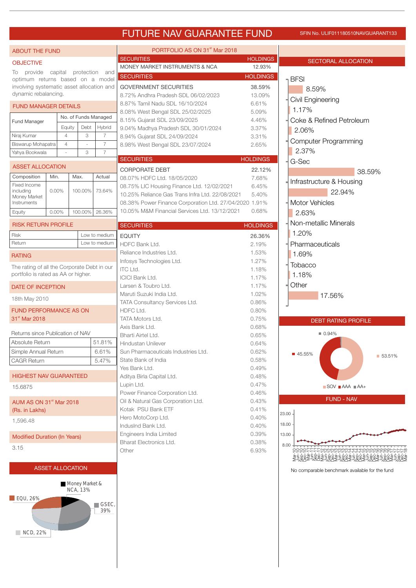# FUTURE NAV GUARANTEE FUND SFIN NO. ULIF011180510NAVGUARANT133

SECTORAL ALLOCATION

8.59%

Civil Engineering

Coke & Refined Petroleum

Computer Programming

1.17%

**BFSI** 

2.06%

f

| <b>ABOUT THE FUND</b>                       |          |                         |                          |               | PORTFOLIO AS ON 31 <sup>st</sup> Mar 2018              |                 |
|---------------------------------------------|----------|-------------------------|--------------------------|---------------|--------------------------------------------------------|-----------------|
| <b>OBJECTIVE</b>                            |          |                         |                          |               | <b>SECURITIES</b>                                      | <b>HOLDING</b>  |
| To provide                                  |          |                         | capital protection       | and           | MONEY MARKET INSTRUMENTS & NCA                         | 12.93%          |
| optimum returns based on a model            |          |                         |                          |               | <b>SECURITIES</b>                                      | <b>HOLDING</b>  |
| involving systematic asset allocation and   |          |                         |                          |               | <b>GOVERNMENT SECURITIES</b>                           | 38.59%          |
| dynamic rebalancing.                        |          |                         |                          |               | 8.72% Andhra Pradesh SDL 06/02/2023                    | 13.09%          |
| <b>FUND MANAGER DETAILS</b>                 |          |                         |                          |               | 8.87% Tamil Nadu SDL 16/10/2024                        | 6.61%           |
|                                             |          |                         |                          |               | 8.08% West Bengal SDL 25/02/2025                       | 5.09%           |
| Fund Manager                                |          | No. of Funds Managed    |                          |               | 8.15% Gujarat SDL 23/09/2025                           | 4.46%           |
|                                             |          | Equity                  | Debt                     | Hybrid        | 9.04% Madhya Pradesh SDL 30/01/2024                    | 3.37%           |
| Niraj Kumar                                 |          | $\overline{4}$          | 3                        | 7             | 8.94% Gujarat SDL 24/09/2024                           | 3.31%           |
| Biswarup Mohapatra                          |          | $\overline{4}$          | $\overline{\phantom{a}}$ | 7             | 8.98% West Bengal SDL 23/07/2024                       | 2.65%           |
| Yahya Bookwala                              |          |                         | 3                        | 7             |                                                        |                 |
| <b>ASSET ALLOCATION</b>                     |          |                         |                          |               | <b>SECURITIES</b>                                      | <b>HOLDINGS</b> |
|                                             |          |                         |                          |               | <b>CORPORATE DEBT</b>                                  | 22.12%          |
| Composition                                 | Min.     |                         | Max.                     | Actual        | 08.07% HDFC Ltd. 18/05/2020                            | 7.68%           |
| Fixed Income<br>including                   | $0.00\%$ |                         | 100.00%                  | 73.64%        | 08.75% LIC Housing Finance Ltd. 12/02/2021             | 6.45%           |
| Money Market                                |          |                         |                          |               | 10.25% Reliance Gas Trans Infra Ltd. 22/08/2021        | 5.40%           |
| Instruments                                 |          |                         |                          |               | 08.38% Power Finance Corporation Ltd. 27/04/2020 1.91% |                 |
| Equity                                      | 0.00%    |                         | 100.00%                  | 26.36%        | 10.05% M&M Financial Services Ltd. 13/12/2021          | 0.68%           |
| <b>RISK RETURN PROFILE</b>                  |          |                         |                          |               | <b>SECURITIES</b>                                      | <b>HOLDINGS</b> |
| Risk                                        |          |                         |                          | Low to medium | <b>EQUITY</b>                                          | 26.36%          |
| Return                                      |          |                         |                          | Low to medium | HDFC Bank Ltd.                                         | 2.19%           |
|                                             |          |                         |                          |               | Reliance Industries Ltd.                               | 1.53%           |
| <b>RATING</b>                               |          |                         |                          |               | Infosys Technologies Ltd.                              | 1.27%           |
| The rating of all the Corporate Debt in our |          |                         |                          |               | <b>ITC Ltd.</b>                                        | 1.18%           |
| portfolio is rated as AA or higher.         |          |                         |                          |               | <b>ICICI Bank Ltd.</b>                                 | 1.17%           |
| DATE OF INCEPTION                           |          |                         |                          |               | Larsen & Toubro Ltd.                                   | 1.17%           |
|                                             |          |                         |                          |               | Maruti Suzuki India Ltd.                               | 1.02%           |
| 18th May 2010                               |          |                         |                          |               | TATA Consultancy Services Ltd.                         | 0.86%           |
| <b>FUND PERFORMANCE AS ON</b>               |          |                         |                          |               | HDFC Ltd.                                              | 0.80%           |
| 31 <sup>st</sup> Mar 2018                   |          |                         |                          |               | <b>TATA Motors Ltd.</b>                                | 0.75%           |
|                                             |          |                         |                          |               | Axis Bank Ltd.                                         | 0.68%           |
| Returns since Publication of NAV            |          |                         |                          |               | Bharti Airtel Ltd.                                     | 0.65%           |
| Absolute Return                             |          |                         |                          | 51.81%        | <b>Hindustan Unilever</b>                              | 0.64%           |
| Simple Annual Return                        |          |                         |                          | 6.61%         | Sun Pharmaceuticals Industries Ltd.                    | 0.62%           |
| CAGR Return                                 |          |                         |                          | 5.47%         | State Bank of India                                    | 0.58%           |
|                                             |          |                         |                          |               | Yes Bank Ltd.                                          | 0.49%           |
| <b>HIGHEST NAV GUARANTEED</b>               |          |                         |                          |               | Aditya Birla Capital Ltd.                              | 0.48%           |
| 15.6875                                     |          |                         |                          |               | Lupin Ltd.                                             | 0.47%           |
|                                             |          |                         |                          |               | Power Finance Corporation Ltd.                         | 0.46%           |
| AUM AS ON 31 <sup>st</sup> Mar 2018         |          |                         |                          |               | Oil & Natural Gas Corporation Ltd.                     | 0.43%           |
| (Rs. in Lakhs)                              |          |                         |                          |               | Kotak PSU Bank ETF                                     | 0.41%           |
|                                             |          |                         |                          |               | Hero MotoCorp Ltd.                                     | 0.40%           |
| 1,596.48                                    |          |                         |                          |               | IndusInd Bank Ltd.                                     | 0.40%           |
| <b>Modified Duration (In Years)</b>         |          |                         |                          |               | Engineers India Limited                                | 0.39%           |
|                                             |          |                         |                          |               | Bharat Electronics Ltd.                                | 0.38%           |
| 3.15                                        |          |                         |                          |               | Other                                                  | 6.93%           |
|                                             |          |                         |                          |               |                                                        |                 |
|                                             |          | <b>ASSET ALLOCATION</b> |                          |               |                                                        |                 |
|                                             |          |                         |                          |               |                                                        |                 |



| 2.37%                                                                                      |          |
|--------------------------------------------------------------------------------------------|----------|
| G-Sec                                                                                      |          |
|                                                                                            | 38.59%   |
| Infrastructure & Housing                                                                   |          |
| 22.94%                                                                                     |          |
| <b>Motor Vehicles</b>                                                                      |          |
| 2.63%                                                                                      |          |
| Non-metallic Minerals<br>1.20%                                                             |          |
| Pharmaceuticals                                                                            |          |
| 1.69%                                                                                      |          |
| Tobacco                                                                                    |          |
| 1.18%                                                                                      |          |
| Other                                                                                      |          |
| 17.56%                                                                                     |          |
|                                                                                            |          |
| <b>DEBT RATING PROFILE</b>                                                                 |          |
| $\blacksquare$ 0.94%<br>45.55%<br>$\blacksquare$ SOV $\blacksquare$ AAA $\blacksquare$ AA+ | ■ 53.51% |
| <b>FUND - NAV</b>                                                                          |          |
|                                                                                            |          |
| $23.00 -$                                                                                  |          |
| $18.00 \cdot$                                                                              |          |
| $13.00 -$                                                                                  |          |

**HOLDINGS** 26.36% 2.19%

**HOLDINGS** 38.59% 13.09% 6.61%

**HOLDINGS** 

8.00 Mar-10 Jun-10 Sep-10 Dec-10 Mar-11 Jun-11 Sep-11 Dec-11 Mar-12 Jun-12 Sep-12 Dec-12 Mar-13 Jun-13 Sep-13 Dec-13 Mar-14 Jun-14 Sep-14 Dec-14 Mar-15 Jun-15 Sep-15 Dec-15 Mar-16 Jun-16 Sep-16 Dec-16 Mar-17 Jun-17 Sep-17 Dec-17 Mar-18

No comparable benchmark available for the fund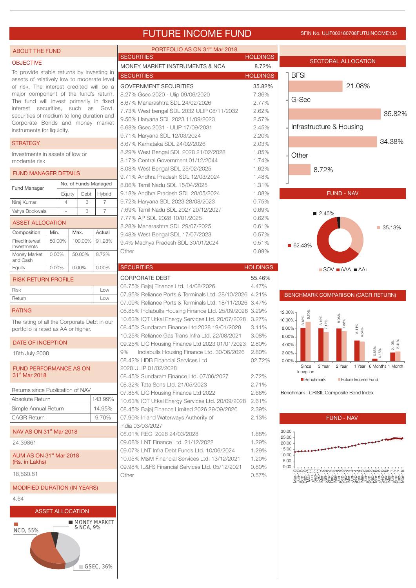# FUTURE INCOME FUND SFIN NO. ULIF002180708FUTUINCOME133

35.82%

| <b>ABOUT THE FUND</b>                                                         |          |                         |           |                      | PORTFOLIO AS ON 31 <sup>st</sup> Mar 2018                                                               |                 |                |                  |              |                                                          |                               |
|-------------------------------------------------------------------------------|----------|-------------------------|-----------|----------------------|---------------------------------------------------------------------------------------------------------|-----------------|----------------|------------------|--------------|----------------------------------------------------------|-------------------------------|
| <b>OBJECTIVE</b>                                                              |          |                         |           |                      | <b>SECURITIES</b>                                                                                       | <b>HOLDINGS</b> |                |                  |              | SECTORAL ALLOCATION                                      |                               |
| To provide stable returns by investing in                                     |          |                         |           |                      | MONEY MARKET INSTRUMENTS & NCA                                                                          | 8.72%           |                |                  |              |                                                          |                               |
| assets of relatively low to moderate level                                    |          |                         |           |                      | <b>SECURITIES</b>                                                                                       | <b>HOLDINGS</b> |                | <b>BFSI</b>      |              |                                                          |                               |
| of risk. The interest credited will be a                                      |          |                         |           |                      | <b>GOVERNMENT SECURITIES</b>                                                                            | 35.82%          |                |                  |              | 21.08%                                                   |                               |
| major component of the fund's return.                                         |          |                         |           |                      | 8.27% Gsec 2020 - Ulip 09/06/2020                                                                       | 7.36%           |                |                  |              |                                                          |                               |
| The fund will invest primarily in fixed                                       |          |                         |           |                      | 8.67% Maharashtra SDL 24/02/2026                                                                        | 2.77%           |                | G-Sec            |              |                                                          |                               |
| interest securities, such as Govt.                                            |          |                         |           |                      | 7.73% West bengal SDL 2032 ULIP 08/11/2032                                                              | 2.62%           |                |                  |              |                                                          | 35.829                        |
| securities of medium to long duration and<br>Corporate Bonds and money market |          |                         |           |                      | 9.50% Haryana SDL 2023 11/09/2023                                                                       | 2.57%           |                |                  |              |                                                          |                               |
| instruments for liquidity.                                                    |          |                         |           |                      | 6.68% Gsec 2031 - ULIP 17/09/2031                                                                       | 2.45%           |                |                  |              | Infrastructure & Housing                                 |                               |
|                                                                               |          |                         |           |                      | 9.71% Haryana SDL 12/03/2024                                                                            | 2.20%           |                |                  |              |                                                          |                               |
| <b>STRATEGY</b>                                                               |          |                         |           |                      | 8.67% Karnataka SDL 24/02/2026                                                                          | 2.03%           |                |                  |              |                                                          | 34.38%                        |
| Investments in assets of low or                                               |          |                         |           |                      | 8.29% West Bengal SDL 2028 21/02/2028                                                                   | 1.85%           |                | Other            |              |                                                          |                               |
| moderate risk.                                                                |          |                         |           |                      | 8.17% Central Government 01/12/2044                                                                     | 1.74%           |                |                  |              |                                                          |                               |
| <b>FUND MANAGER DETAILS</b>                                                   |          |                         |           |                      | 8.08% West Bengal SDL 25/02/2025                                                                        | 1.62%           |                |                  | 8.72%        |                                                          |                               |
|                                                                               |          |                         |           |                      | 9.71% Andhra Pradesh SDL 12/03/2024                                                                     | 1.48%           |                |                  |              |                                                          |                               |
| <b>Fund Manager</b>                                                           |          |                         |           | No. of Funds Managed | 8.06% Tamil Nadu SDL 15/04/2025                                                                         | 1.31%           |                |                  |              |                                                          |                               |
|                                                                               |          | Equity                  | Debt      | Hybrid               | 9.18% Andhra Pradesh SDL 28/05/2024                                                                     | 1.08%           |                |                  |              | <b>FUND - NAV</b>                                        |                               |
| Niraj Kumar                                                                   |          | $\overline{4}$          | 3         | $\overline{7}$       | 9.72% Haryana SDL 2023 28/08/2023                                                                       | 0.75%           |                |                  |              |                                                          |                               |
| Yahya Bookwala                                                                |          |                         | 3         | $\overline{7}$       | 7.69% Tamil Nadu SDL 2027 20/12/2027                                                                    | 0.69%           |                |                  | ■ 2.45%      |                                                          |                               |
| <b>ASSET ALLOCATION</b>                                                       |          |                         |           |                      | 7.77% AP SDL 2028 10/01/2028                                                                            | 0.62%           |                |                  |              |                                                          |                               |
|                                                                               | Min.     |                         | Max.      | Actual               | 8.28% Maharashtra SDL 29/07/2025                                                                        | 0.61%           |                |                  |              |                                                          | ■ 35.13%                      |
| Composition<br><b>Fixed Interest</b>                                          | 50.00%   |                         | 100.00%   | 91.28%               | 9.48% West Bengal SDL 17/07/2023                                                                        | 0.57%           |                |                  |              |                                                          |                               |
| Investments                                                                   |          |                         |           |                      | 9.4% Madhya Pradesh SDL 30/01/2024                                                                      | 0.51%           |                | ■ 62.43%         |              |                                                          |                               |
| Money Market                                                                  | $0.00\%$ |                         | 50.00%    | 8.72%                | Other                                                                                                   | 0.99%           |                |                  |              |                                                          |                               |
| and Cash                                                                      |          |                         |           |                      |                                                                                                         |                 |                |                  |              |                                                          |                               |
| Equity                                                                        | 0.00%    |                         | 0.00%     | 0.00%                | <b>SECURITIES</b>                                                                                       | <b>HOLDINGS</b> |                |                  |              | $\blacksquare$ SOV $\blacksquare$ AAA $\blacksquare$ AA+ |                               |
| <b>RISK RETURN PROFILE</b>                                                    |          |                         |           |                      | <b>CORPORATE DEBT</b>                                                                                   | 55.46%          |                |                  |              |                                                          |                               |
| Risk                                                                          |          |                         |           | Low                  | 08.75% Bajaj Finance Ltd. 14/08/2026                                                                    | 4.47%           |                |                  |              |                                                          |                               |
| Return                                                                        |          |                         |           | Low                  | 07.95% Reliance Ports & Terminals Ltd. 28/10/2026 4.21%                                                 |                 |                |                  |              | BENCHMARK COMPARISON (CAGR RETURN)                       |                               |
| <b>RATING</b>                                                                 |          |                         |           |                      | 07.09% Reliance Ports & Terminals Ltd. 18/11/2026 3.47%                                                 |                 |                |                  |              |                                                          |                               |
|                                                                               |          |                         |           |                      | 08.85% Indiabulls Housing Finance Ltd. 25/09/2026 3.29%                                                 |                 | 12.00%         | 9.70%            |              |                                                          |                               |
| The rating of all the Corporate Debt in our                                   |          |                         |           |                      | 10.63% IOT Utkal Energy Services Ltd. 20/07/2028 3.27%                                                  | 3.11%           | 10.00% -       | 8.18%            | 8.12%<br>17% | 8.06%                                                    |                               |
| portfolio is rated as AA or higher.                                           |          |                         |           |                      | 08.45% Sundaram Finance Ltd 2028 19/01/2028                                                             |                 | 8.00%          |                  |              | 5.11%<br>4.84%                                           |                               |
| <b>DATE OF INCEPTION</b>                                                      |          |                         |           |                      | 10.25% Reliance Gas Trans Infra Ltd. 22/08/2021<br>09.25% LIC Housing Finance Ltd 2023 01/01/2023 2.80% | 3.08%           | 6.00%          |                  |              |                                                          |                               |
|                                                                               |          |                         |           |                      | 9%<br>Indiabulls Housing Finance Ltd. 30/06/2026                                                        | 2.80%           | 4.00%<br>2.00% |                  |              |                                                          | $2.13\%$<br>$2.41\%$<br>0.65% |
| 18th July 2008                                                                |          |                         |           |                      | 08.42% HDB Financial Services Ltd                                                                       | 02.72%          | $0.00\% +$     |                  |              |                                                          |                               |
| <b>FUND PERFORMANCE AS ON</b>                                                 |          |                         |           |                      | 2028 ULIP 01/02/2028                                                                                    |                 |                | Since            | 3 Year       | 2 Year                                                   | 1 Year 6 Months 1 Month       |
| 31 <sup>st</sup> Mar 2018                                                     |          |                         |           |                      | 08.45% Sundaram Finance Ltd. 07/06/2027                                                                 | 2.72%           |                | Inception        |              |                                                          |                               |
|                                                                               |          |                         |           |                      | 08.32% Tata Sons Ltd. 21/05/2023                                                                        | 2.71%           |                | <b>Benchmark</b> |              | Future Income Fund                                       |                               |
| Returns since Publication of NAV                                              |          |                         |           |                      | 07.85% LIC Housing Finance Ltd 2022                                                                     | 2.66%           |                |                  |              | Benchmark : CRISIL Composite Bond Index                  |                               |
| Absolute Return                                                               |          |                         |           | 143.99%              | 10.63% IOT Utkal Energy Services Ltd. 20/09/2028 2.61%                                                  |                 |                |                  |              |                                                          |                               |
| Simple Annual Return                                                          |          |                         |           | 14.95%               | 08.45% Bajaj Finance Limited 2026 29/09/2026                                                            | 2.39%           |                |                  |              |                                                          |                               |
| <b>CAGR Return</b>                                                            |          |                         |           | 9.70%                | 07.90% Inland Waterways Authority of                                                                    | 2.13%           |                |                  |              | <b>FUND - NAV</b>                                        |                               |
|                                                                               |          |                         |           |                      | India 03/03/2027                                                                                        |                 |                |                  |              |                                                          |                               |
| NAV AS ON 31 <sup>st</sup> Mar 2018                                           |          |                         |           |                      | 08.01% REC 2028 24/03/2028                                                                              | 1.88%           | 30.00<br>25.00 |                  |              |                                                          |                               |
| 24.39861                                                                      |          |                         |           |                      | 09.08% LNT Finance Ltd. 21/12/2022                                                                      | 1.29%           | 20.00          |                  |              |                                                          |                               |
|                                                                               |          |                         |           |                      | 09.07% LNT Infra Debt Funds Ltd. 10/06/2024                                                             | 1.29%           | 15.00          |                  |              |                                                          |                               |
| AUM AS ON 31 <sup>st</sup> Mar 2018<br>(Rs. in Lakhs)                         |          |                         |           |                      | 10.05% M&M Financial Services Ltd. 13/12/2021                                                           | 1.20%           | 10.00<br>5.00  |                  |              |                                                          |                               |
|                                                                               |          |                         |           |                      | 09.98% IL&FS Financial Services Ltd. 05/12/2021                                                         | 0.80%           | 0.00           |                  |              | __ UNANNWWWA4444MMMMO@@                                  |                               |
| 18,860.81                                                                     |          |                         |           |                      | Other                                                                                                   | 0.57%           |                |                  |              |                                                          |                               |
| <b>MODIFIED DURATION (IN YEARS)</b>                                           |          |                         |           |                      |                                                                                                         |                 |                |                  |              |                                                          |                               |
|                                                                               |          |                         |           |                      |                                                                                                         |                 |                |                  |              |                                                          |                               |
| 4.64                                                                          |          |                         |           |                      |                                                                                                         |                 |                |                  |              |                                                          |                               |
|                                                                               |          | <b>ASSET ALLOCATION</b> |           |                      |                                                                                                         |                 |                |                  |              |                                                          |                               |
|                                                                               |          |                         |           | <b>MONEY MARKET</b>  |                                                                                                         |                 |                |                  |              |                                                          |                               |
| <b>NCD, 55%</b>                                                               |          |                         | & NCA, 9% |                      |                                                                                                         |                 |                |                  |              |                                                          |                               |
|                                                                               |          |                         |           |                      |                                                                                                         |                 |                |                  |              |                                                          |                               |
|                                                                               |          |                         |           |                      |                                                                                                         |                 |                |                  |              |                                                          |                               |
|                                                                               |          |                         |           |                      |                                                                                                         |                 |                |                  |              |                                                          |                               |
|                                                                               |          |                         |           |                      |                                                                                                         |                 |                |                  |              |                                                          |                               |
|                                                                               |          |                         |           | GSEC, 36%            |                                                                                                         |                 |                |                  |              |                                                          |                               |
|                                                                               |          |                         |           |                      |                                                                                                         |                 |                |                  |              |                                                          |                               |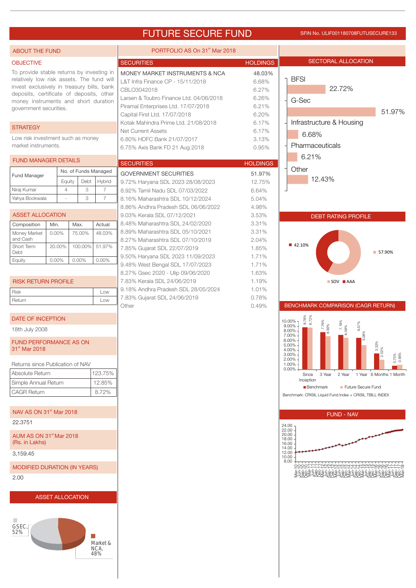# FUTURE SECURE FUND SFIN NO. ULIF001180708FUTUSECURE133

| <b>ABOUT THE FUND</b>                                                                                                                                                                                                                              |                         |           |                          | PORTFOLIO AS On 31 <sup>st</sup> Mar 2018                                                                                                                                                                                                     |                                                              |                                                                                                                                                                 |
|----------------------------------------------------------------------------------------------------------------------------------------------------------------------------------------------------------------------------------------------------|-------------------------|-----------|--------------------------|-----------------------------------------------------------------------------------------------------------------------------------------------------------------------------------------------------------------------------------------------|--------------------------------------------------------------|-----------------------------------------------------------------------------------------------------------------------------------------------------------------|
| <b>OBJECTIVE</b>                                                                                                                                                                                                                                   |                         |           |                          | <b>SECURITIES</b>                                                                                                                                                                                                                             | <b>HOLDINGS</b>                                              | <b>SECTORAL ALLOCATION</b>                                                                                                                                      |
| To provide stable returns by investing in<br>relatively low risk assets. The fund will<br>invest exclusively in treasury bills, bank<br>deposits, certificate of deposits, other<br>money instruments and short duration<br>government securities. |                         |           |                          | MONEY MARKET INSTRUMENTS & NCA<br>L&T Infra Finance CP - 15/11/2018<br>CBLO3042018<br>Larsen & Toubro Finance Ltd. 04/06/2018<br>Piramal Enterprises Ltd. 17/07/2018<br>Capital First Ltd. 17/07/2018<br>Kotak Mahindra Prime Ltd. 21/08/2018 | 48.03%<br>6.68%<br>6.27%<br>6.26%<br>6.21%<br>6.20%<br>6.17% | <b>BFSI</b><br>22.72%<br>G-Sec<br>51.97%<br>Infrastructure & Housing                                                                                            |
| <b>STRATEGY</b>                                                                                                                                                                                                                                    |                         |           |                          | <b>Net Current Assets</b>                                                                                                                                                                                                                     | 6.17%                                                        | 6.68%                                                                                                                                                           |
| Low risk investment such as money<br>market instruments.                                                                                                                                                                                           |                         |           |                          | 6.80% HDFC Bank 21/07/2017<br>6.75% Axis Bank FD 21 Aug 2018                                                                                                                                                                                  | 3.13%<br>0.95%                                               | Pharmaceuticals<br>6.21%                                                                                                                                        |
| <b>FUND MANAGER DETAILS</b>                                                                                                                                                                                                                        |                         |           |                          | <b>SECURITIES</b>                                                                                                                                                                                                                             | <b>HOLDINGS</b>                                              |                                                                                                                                                                 |
| Fund Manager                                                                                                                                                                                                                                       |                         |           | No. of Funds Managed     | <b>GOVERNMENT SECURITIES</b>                                                                                                                                                                                                                  | 51.97%                                                       | Other                                                                                                                                                           |
| Niraj Kumar                                                                                                                                                                                                                                        | Equity<br>4             | Debt<br>3 | Hybrid<br>$\overline{7}$ | 9.72% Haryana SDL 2023 28/08/2023                                                                                                                                                                                                             | 12.75%                                                       | 12.43%                                                                                                                                                          |
| Yahya Bookwala                                                                                                                                                                                                                                     |                         | 3         | $\overline{7}$           | 8.92% Tamil Nadu SDL 07/03/2022<br>8.16% Maharashtra SDL 10/12/2024                                                                                                                                                                           | 6.64%<br>5.04%                                               |                                                                                                                                                                 |
|                                                                                                                                                                                                                                                    |                         |           |                          | 8.86% Andhra Pradesh SDL 06/06/2022                                                                                                                                                                                                           | 4.98%                                                        |                                                                                                                                                                 |
| <b>ASSET ALLOCATION</b>                                                                                                                                                                                                                            |                         |           |                          | 9.03% Kerala SDL 07/12/2021                                                                                                                                                                                                                   | 3.53%                                                        | <b>DEBT RATING PROFILE</b>                                                                                                                                      |
| Composition                                                                                                                                                                                                                                        | Min.                    | Max.      | Actual                   | 8.48% Maharashtra SDL 24/02/2020<br>8.89% Maharashtra SDL 05/10/2021                                                                                                                                                                          | 3.31%<br>3.31%                                               |                                                                                                                                                                 |
| Money Market<br>and Cash                                                                                                                                                                                                                           | $0.00\%$                | 75.00%    | 48.03%                   | 8.27% Maharashtra SDL 07/10/2019                                                                                                                                                                                                              | 2.04%                                                        |                                                                                                                                                                 |
| Short Term<br>Debt                                                                                                                                                                                                                                 | 20.00%                  | 100.00%   | 51.97%                   | 7.85% Gujarat SDL 22/07/2019                                                                                                                                                                                                                  | 1.85%                                                        | ■ 42.10%<br>■ 57.90%                                                                                                                                            |
| Equity                                                                                                                                                                                                                                             | $0.00\%$                | 0.00%     | $0.00\%$                 | 9.50% Haryana SDL 2023 11/09/2023                                                                                                                                                                                                             | 1.71%                                                        |                                                                                                                                                                 |
|                                                                                                                                                                                                                                                    |                         |           |                          | 9.48% West Bengal SDL 17/07/2023<br>8.27% Gsec 2020 - Ulip 09/06/2020                                                                                                                                                                         | 1.71%<br>1.63%                                               |                                                                                                                                                                 |
| <b>RISK RETURN PROFILE</b>                                                                                                                                                                                                                         |                         |           |                          | 7.83% Kerala SDL 24/06/2019                                                                                                                                                                                                                   | 1.19%                                                        | SOV AAA                                                                                                                                                         |
| <b>Risk</b>                                                                                                                                                                                                                                        |                         |           | Low                      | 9.18% Andhra Pradesh SDL 28/05/2024                                                                                                                                                                                                           | 1.01%                                                        |                                                                                                                                                                 |
| Return                                                                                                                                                                                                                                             |                         |           | Low                      | 7.83% Gujarat SDL 24/06/2019<br>Other                                                                                                                                                                                                         | 0.78%<br>0.49%                                               | BENCHMARK COMPARISON (CAGR RETURN)                                                                                                                              |
| DATE OF INCEPTION                                                                                                                                                                                                                                  |                         |           |                          |                                                                                                                                                                                                                                               |                                                              | 8.78%<br>8.72%<br>$10.00\%$ -<br>7.76%                                                                                                                          |
| 18th July 2008<br><b>FUND PERFORMANCE AS ON</b><br>31 <sup>st</sup> Mar 2018                                                                                                                                                                       |                         |           |                          |                                                                                                                                                                                                                                               |                                                              | $\begin{bmatrix} 7.19\% \\ 6.59\% \end{bmatrix}$<br>6.57%<br>$.92\%$<br>$9.00\%$<br>8.00%<br>08%<br>7.00%<br>6.00%<br>3.32%<br>2.02%<br>5.00%<br>4.00%<br>3.00% |
| Returns since Publication of NAV                                                                                                                                                                                                                   |                         |           |                          |                                                                                                                                                                                                                                               |                                                              | 0.75%<br>0.95%<br>2.00%<br>1.00%                                                                                                                                |
| Absolute Return                                                                                                                                                                                                                                    |                         |           | 123.75%                  |                                                                                                                                                                                                                                               |                                                              | 0.00%<br>3 Year<br>1 Year 6 Months 1 Month<br>Since<br>2 Year                                                                                                   |
| Simple Annual Return                                                                                                                                                                                                                               |                         |           | 12.85%                   |                                                                                                                                                                                                                                               |                                                              | Inception<br><b>Benchmark</b><br>Future Secure Fund                                                                                                             |
| <b>CAGR Return</b>                                                                                                                                                                                                                                 |                         |           | 8.72%                    |                                                                                                                                                                                                                                               |                                                              | Benchmark: CRISIL Liquid Fund Index + CRISIL TBILL INDEX                                                                                                        |
| NAV AS ON 31 <sup>st</sup> Mar 2018                                                                                                                                                                                                                |                         |           |                          |                                                                                                                                                                                                                                               |                                                              | <b>FUND - NAV</b>                                                                                                                                               |
| 22.3751                                                                                                                                                                                                                                            |                         |           |                          |                                                                                                                                                                                                                                               |                                                              | 24.00                                                                                                                                                           |
| AUM AS ON 31 <sup>st</sup> Mar 2018<br>(Rs. in Lakhs)                                                                                                                                                                                              |                         |           |                          |                                                                                                                                                                                                                                               |                                                              | 22.00<br>20.00<br>18.00<br>16.00<br>14.00                                                                                                                       |
| 3,159.45                                                                                                                                                                                                                                           |                         |           |                          |                                                                                                                                                                                                                                               |                                                              | 12.00<br>10.00                                                                                                                                                  |
| <b>MODIFIED DURATION (IN YEARS)</b><br>2.00                                                                                                                                                                                                        |                         |           |                          |                                                                                                                                                                                                                                               |                                                              | 8.00<br>OOOO <u>LLLL</u> UUUUWWWW4444MMMM@@@VYYY9                                                                                                               |
|                                                                                                                                                                                                                                                    |                         |           |                          |                                                                                                                                                                                                                                               |                                                              |                                                                                                                                                                 |
| a.<br>GSEC,<br>52%                                                                                                                                                                                                                                 | <b>ASSET ALLOCATION</b> |           | Market &<br>NCA,<br>48%  |                                                                                                                                                                                                                                               |                                                              |                                                                                                                                                                 |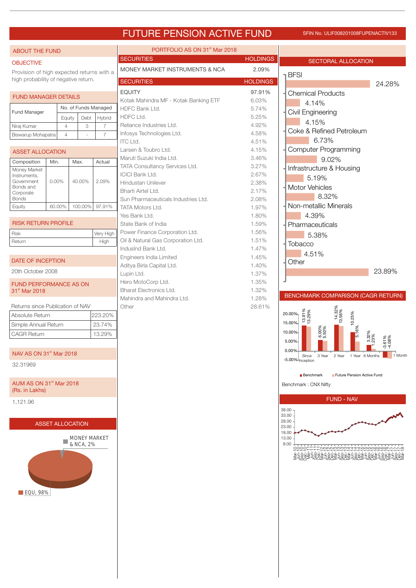# FUTURE PENSION ACTIVE FUND SFIN NO. ULIF008201008FUPENACTIV133

| <b>ABOUT THE FUND</b>                     |        |                |         |                      | PORTFOLIO AS ON 31 <sup>st</sup> Mar 2018 |                 |                                                          |
|-------------------------------------------|--------|----------------|---------|----------------------|-------------------------------------------|-----------------|----------------------------------------------------------|
| <b>OBJECTIVE</b>                          |        |                |         |                      | <b>SECURITIES</b>                         | <b>HOLDINGS</b> | SECTORAL ALLOCATION                                      |
| Provision of high expected returns with a |        |                |         |                      | MONEY MARKET INSTRUMENTS & NCA            | 2.09%           |                                                          |
| high probability of negative return.      |        |                |         |                      | <b>SECURITIES</b>                         | <b>HOLDINGS</b> | <b>BFSI</b>                                              |
|                                           |        |                |         |                      | <b>EQUITY</b>                             | 97.91%          | 24.28%                                                   |
| <b>FUND MANAGER DETAILS</b>               |        |                |         |                      | Kotak Mahindra MF - Kotak Banking ETF     | 6.03%           | <b>Chemical Products</b>                                 |
|                                           |        |                |         | No. of Funds Managed | HDFC Bank Ltd.                            | 5.74%           | 4.14%                                                    |
| Fund Manager                              |        | Equity         | Debt    | Hybrid               | HDFC Ltd.                                 | 5.25%           | Civil Engineering                                        |
| Niraj Kumar                               |        | $\overline{4}$ | 3       | $\overline{7}$       | Reliance Industries Ltd.                  | 4.92%           | 4.15%                                                    |
| Biswarup Mohapatra                        |        | $\overline{4}$ |         | $\overline{7}$       | Infosys Technologies Ltd.                 | 4.58%           | Coke & Refined Petroleum                                 |
|                                           |        |                |         |                      | <b>ITC Ltd.</b>                           | 4.51%           | 6.73%                                                    |
| <b>ASSET ALLOCATION</b>                   |        |                |         |                      | Larsen & Toubro Ltd.                      | 4.15%           | <b>Computer Programming</b>                              |
| Composition                               | Min.   |                | Max.    | Actual               | Maruti Suzuki India Ltd.                  | 3.46%           | 9.02%                                                    |
| Money Market                              |        |                |         |                      | TATA Consultancy Services Ltd.            | 3.27%           | Infrastructure & Housing                                 |
| Instruments,                              |        |                |         |                      | <b>ICICI Bank Ltd.</b>                    | 2.67%           | 5.19%                                                    |
| Government<br>Bonds and                   | 0.00%  |                | 40.00%  | 2.09%                | <b>Hindustan Unilever</b>                 | 2.38%           | Motor Vehicles                                           |
| Corporate                                 |        |                |         |                      | Bharti Airtel Ltd.                        | 2.17%           | 8.32%                                                    |
| <b>Bonds</b>                              |        |                |         |                      | Sun Pharmaceuticals Industries Ltd.       | 2.08%           | Non-metallic Minerals                                    |
| Equity                                    | 60.00% |                | 100.00% | 97.91%               | TATA Motors Ltd.                          | 1.97%           |                                                          |
| <b>RISK RETURN PROFILE</b>                |        |                |         |                      | Yes Bank Ltd.<br>State Bank of India      | 1.80%<br>1.59%  | 4.39%                                                    |
|                                           |        |                |         |                      | Power Finance Corporation Ltd.            | 1.56%           | Pharmaceuticals                                          |
| Risk                                      |        |                |         | Very High<br>High    | Oil & Natural Gas Corporation Ltd.        | 1.51%           | 5.38%                                                    |
| Return                                    |        |                |         |                      | IndusInd Bank Ltd.                        | 1.47%           | Tobacco                                                  |
|                                           |        |                |         |                      | Engineers India Limited                   | 1.45%           | 4.51%                                                    |
| DATE OF INCEPTION                         |        |                |         |                      | Aditya Birla Capital Ltd.                 | 1.40%           | Other                                                    |
| 20th October 2008                         |        |                |         |                      | Lupin Ltd.                                | 1.37%           | 23.89%                                                   |
| FUND PERFORMANCE AS ON                    |        |                |         |                      | Hero MotoCorp Ltd.                        | 1.35%           |                                                          |
| 31 <sup>st</sup> Mar 2018                 |        |                |         |                      | <b>Bharat Electronics Ltd.</b>            | 1.32%           |                                                          |
|                                           |        |                |         |                      | Mahindra and Mahindra Ltd.                | 1.28%           | BENCHMARK COMPARISON (CAGR RETURN)                       |
| Returns since Publication of NAV          |        |                |         |                      | Other                                     | 28.61%          |                                                          |
| Absolute Return                           |        |                |         | 223.20%              |                                           |                 | 14.32%<br>13.56%<br>13.91%<br>13.29%<br>10.25%<br>20.00% |
| Simple Annual Return                      |        |                |         | 23.74%               |                                           |                 | 15.00%                                                   |
| <b>CAGR Return</b>                        |        |                |         | 13.29%               |                                           |                 | 5.16%<br>6.00%<br>5.50%<br>10.00%<br>3.32%<br>23%        |
|                                           |        |                |         |                      |                                           |                 | $-3.61\%$<br>$-4.08\%$<br>5.00%                          |
| NAV AS ON 31 <sup>st</sup> Mar 2018       |        |                |         |                      |                                           |                 | 0.00%<br>1 Month<br>Since 3 Year 2 Year 1 Year 6 Months  |
| 32.31969                                  |        |                |         |                      |                                           |                 | -5.00% Inception                                         |
|                                           |        |                |         |                      |                                           |                 |                                                          |
| AUM AS ON 31 <sup>st</sup> Mar 2018       |        |                |         |                      |                                           |                 | Future Pension Active Fund<br><b>Benchmark</b>           |
| (Rs. in Lakhs)                            |        |                |         |                      |                                           |                 | Benchmark: CNX Nifty                                     |
|                                           |        |                |         |                      |                                           |                 | <b>FUND - NAV</b>                                        |
| 1,121.96                                  |        |                |         |                      |                                           |                 | 38.00                                                    |
|                                           |        |                |         |                      |                                           |                 | 33.00                                                    |
| <b>ASSET ALLOCATION</b>                   |        |                |         |                      |                                           |                 | 28.00<br>23.00                                           |
|                                           |        |                |         |                      |                                           |                 | 18.00                                                    |
| <b>MONEY MARKET</b><br>& NCA, 2%          |        |                |         |                      |                                           |                 | 13.00<br>8.00                                            |
|                                           |        |                |         |                      |                                           |                 | -L_unnnwwww4444mmmmmmmmv-r-r                             |
|                                           |        |                |         |                      |                                           |                 |                                                          |
|                                           |        |                |         |                      |                                           |                 |                                                          |
|                                           |        |                |         |                      |                                           |                 |                                                          |
|                                           |        |                |         |                      |                                           |                 |                                                          |
| EQU, 98%                                  |        |                |         |                      |                                           |                 |                                                          |
|                                           |        |                |         |                      |                                           |                 |                                                          |
|                                           |        |                |         |                      |                                           |                 |                                                          |
|                                           |        |                |         |                      |                                           |                 |                                                          |
|                                           |        |                |         |                      |                                           |                 |                                                          |
|                                           |        |                |         |                      |                                           |                 |                                                          |
|                                           |        |                |         |                      |                                           |                 |                                                          |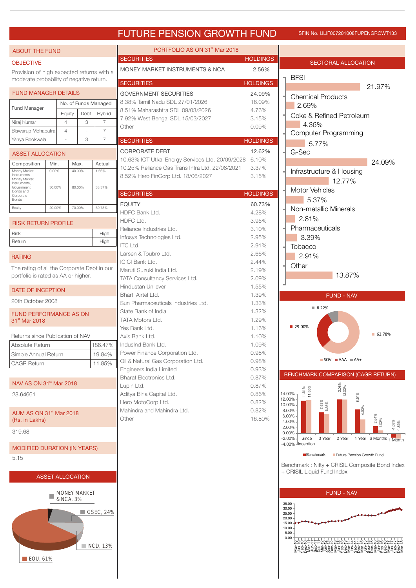# FUTURE PENSION GROWTH FUND SFIN NO. ULIF007201008FUPENGROWT133

| <b>ABOUT THE FUND</b>                       |                         |                |                     |                      | PORTFOLIO AS ON 31 <sup>st</sup> Mar 2018                       |                  |                                                                            |
|---------------------------------------------|-------------------------|----------------|---------------------|----------------------|-----------------------------------------------------------------|------------------|----------------------------------------------------------------------------|
| <b>OBJECTIVE</b>                            |                         |                |                     |                      | <b>SECURITIES</b>                                               | <b>HOLDINGS</b>  | SECTORAL ALLOCATION                                                        |
| Provision of high expected returns with a   |                         |                |                     |                      | MONEY MARKET INSTRUMENTS & NCA                                  | 2.56%            |                                                                            |
| moderate probability of negative return.    |                         |                |                     |                      | <b>SECURITIES</b>                                               | <b>HOLDINGS</b>  | <b>BFSI</b>                                                                |
|                                             |                         |                |                     |                      |                                                                 |                  | 21.97%                                                                     |
| <b>FUND MANAGER DETAILS</b>                 |                         |                |                     |                      | <b>GOVERNMENT SECURITIES</b><br>8.38% Tamil Nadu SDL 27/01/2026 | 24.09%<br>16.09% | <b>Chemical Products</b>                                                   |
| <b>Fund Manager</b>                         |                         |                |                     | No. of Funds Managed | 8.51% Maharashtra SDL 09/03/2026                                | 4.76%            | 2.69%                                                                      |
|                                             |                         | Equity         | Debt                | Hybrid               | 7.92% West Bengal SDL 15/03/2027                                | 3.15%            | Coke & Refined Petroleum                                                   |
| Niraj Kumar                                 |                         | $\overline{4}$ | 3                   | $\overline{7}$       | Other                                                           | 0.09%            | 4.36%                                                                      |
| Biswarup Mohapatra                          |                         | $\overline{4}$ |                     | $\overline{7}$       |                                                                 |                  | <b>Computer Programming</b>                                                |
| Yahya Bookwala                              |                         |                | 3                   | $\overline{7}$       | <b>SECURITIES</b>                                               | <b>HOLDINGS</b>  | 5.77%                                                                      |
| <b>ASSET ALLOCATION</b>                     |                         |                |                     |                      | <b>CORPORATE DEBT</b>                                           | 12.62%           | G-Sec                                                                      |
| Composition                                 | Min.                    | Max.           |                     | Actual               | 10.63% IOT Utkal Energy Services Ltd. 20/09/2028                | 6.10%            | 24.09%                                                                     |
| Money Market<br>Instruments                 | $0.00\%$                |                | 40.00%              | 1.66%                | 10.25% Reliance Gas Trans Infra Ltd. 22/08/2021                 | 3.37%            | Infrastructure & Housing                                                   |
| Money Market<br>Instruments,                |                         |                |                     |                      | 8.52% Hero FinCorp Ltd. 18/06/2027                              | 3.15%            | 12.77%                                                                     |
| Government<br>Bonds and                     | 30.00%                  |                | 80.00%              | 38.37%               |                                                                 |                  | <b>Motor Vehicles</b>                                                      |
| Corporate<br>Bonds                          |                         |                |                     |                      | <b>SECURITIES</b>                                               | <b>HOLDINGS</b>  | 5.37%                                                                      |
| Equity                                      | 20.00%                  |                | 70.00%              | 60.73%               | <b>EQUITY</b>                                                   | 60.73%           | Non-metallic Minerals                                                      |
|                                             |                         |                |                     |                      | HDFC Bank Ltd.                                                  | 4.28%            | 2.81%                                                                      |
| <b>RISK RETURN PROFILE</b>                  |                         |                |                     |                      | HDFC Ltd.                                                       | 3.95%            |                                                                            |
| <b>Risk</b>                                 |                         |                |                     | High                 | Reliance Industries Ltd.                                        | 3.10%            | Pharmaceuticals                                                            |
| Return                                      |                         |                |                     | High                 | Infosys Technologies Ltd.<br><b>ITC Ltd.</b>                    | 2.95%<br>2.91%   | 3.39%                                                                      |
|                                             |                         |                |                     |                      | Larsen & Toubro Ltd.                                            | 2.66%            | Tobacco                                                                    |
| <b>RATING</b>                               |                         |                |                     |                      | <b>ICICI Bank Ltd.</b>                                          | 2.44%            | 2.91%                                                                      |
| The rating of all the Corporate Debt in our |                         |                |                     |                      | Maruti Suzuki India Ltd.                                        | 2.19%            | Other                                                                      |
| portfolio is rated as AA or higher.         |                         |                |                     |                      | TATA Consultancy Services Ltd.                                  | 2.09%            | 13.87%                                                                     |
|                                             |                         |                |                     |                      | Hindustan Unilever                                              | 1.55%            |                                                                            |
| DATE OF INCEPTION                           |                         |                |                     |                      | Bharti Airtel Ltd.                                              | 1.39%            | <b>FUND - NAV</b>                                                          |
| 20th October 2008                           |                         |                |                     |                      | Sun Pharmaceuticals Industries Ltd.                             | 1.33%            | ■ 8.22%                                                                    |
| <b>FUND PERFORMANCE AS ON</b>               |                         |                |                     |                      | State Bank of India                                             | 1.32%            |                                                                            |
| 31 <sup>st</sup> Mar 2018                   |                         |                |                     |                      | TATA Motors Ltd.                                                | 1.29%            |                                                                            |
|                                             |                         |                |                     |                      | Yes Bank Ltd.                                                   | 1.16%            | ■ 29.00%<br>■ 62.78%                                                       |
| Returns since Publication of NAV            |                         |                |                     |                      | Axis Bank Ltd.                                                  | 1.10%            |                                                                            |
| Absolute Return                             |                         |                |                     | 186.47%              | IndusInd Bank Ltd.                                              | 1.09%            |                                                                            |
| Simple Annual Return                        |                         |                |                     | 19.84%               | Power Finance Corporation Ltd.                                  | 0.98%            | $\blacksquare$ SOV $\blacksquare$ AAA $\blacksquare$ AA+                   |
| <b>CAGR Return</b>                          |                         |                |                     | 11.85%               | Oil & Natural Gas Corporation Ltd.<br>Engineers India Limited   | 0.98%<br>0.93%   |                                                                            |
|                                             |                         |                |                     |                      | <b>Bharat Electronics Ltd.</b>                                  | 0.87%            | BENCHMARK COMPARISON (CAGR RETURN)                                         |
| NAV AS ON 31 <sup>st</sup> Mar 2018         |                         |                |                     |                      | Lupin Ltd.                                                      | 0.87%            |                                                                            |
| 28.64661                                    |                         |                |                     |                      | Aditya Birla Capital Ltd.                                       | 0.86%            | 12.08%<br>12.03%<br>11.61%<br>11.85%<br>14.00%-                            |
|                                             |                         |                |                     |                      | Hero MotoCorp Ltd.                                              | 0.82%            | 12.00%<br>$10.00\%$                                                        |
| AUM AS ON 31 <sup>st</sup> Mar 2018         |                         |                |                     |                      | Mahindra and Mahindra Ltd.                                      | 0.82%            | 7.53%<br>6.85%<br>8.00%                                                    |
| (Rs. in Lakhs)                              |                         |                |                     |                      | Other                                                           | 16.80%           | 6.00%<br>$\frac{2.54\%}{.02\%}$<br>4.00%                                   |
| 319.68                                      |                         |                |                     |                      |                                                                 |                  | $-1.58\%$<br>2.00%                                                         |
|                                             |                         |                |                     |                      |                                                                 |                  | 0.00%<br>$-2.00\%$<br>Since<br>3 Year<br>2 Year<br>1 Year 6 Months 1 Month |
| <b>MODIFIED DURATION (IN YEARS)</b>         |                         |                |                     |                      |                                                                 |                  | -4.00% - Inception                                                         |
| 5.15                                        |                         |                |                     |                      |                                                                 |                  | Future Pension Growth Fund<br>Benchmark                                    |
|                                             |                         |                |                     |                      |                                                                 |                  | Benchmark: Nifty + CRISIL Composite Bond Index                             |
|                                             | <b>ASSET ALLOCATION</b> |                |                     |                      |                                                                 |                  | + CRISIL Liquid Fund Index                                                 |
|                                             |                         |                |                     |                      |                                                                 |                  |                                                                            |
|                                             |                         |                | <b>MONEY MARKET</b> |                      |                                                                 |                  | <b>FUND - NAV</b>                                                          |
| & NCA, 3%                                   |                         |                |                     |                      |                                                                 |                  | 35.00                                                                      |
| $\blacksquare$ GSEC, 24%                    |                         |                |                     |                      |                                                                 |                  | 30.00                                                                      |
|                                             |                         |                |                     |                      |                                                                 |                  | 25.00<br>20.00                                                             |
|                                             |                         |                |                     |                      |                                                                 |                  | 15.00<br>10.00                                                             |
|                                             |                         |                |                     |                      |                                                                 |                  | 5.00<br>0.00                                                               |
|                                             |                         |                |                     | NCD, 13%             |                                                                 |                  | LLLauaauwww4444mmmmmmmm                                                    |
|                                             |                         |                |                     |                      |                                                                 |                  |                                                                            |
| $\blacksquare$ EQU, 61%                     |                         |                |                     |                      |                                                                 |                  |                                                                            |

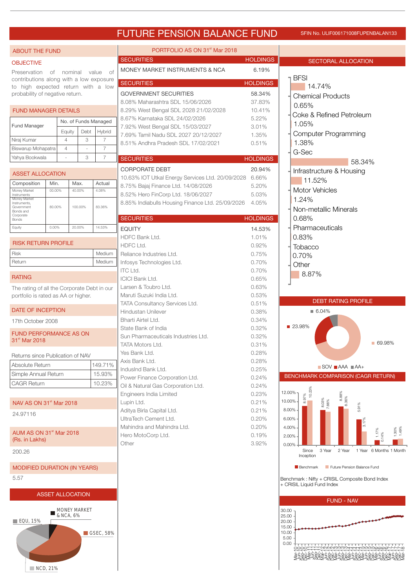# FUTURE PENSION BALANCE FUND SFIN NO. ULIF006171008FUPENBALAN133

# ABOUT THE FUND

## **OBJECTIVE**

Preservation of nominal value of contributions along with a low exposure to high expected return with a low probability of negative return.

# FUND MANAGER DETAILS

| <b>Fund Manager</b> | No. of Funds Managed |      |        |  |  |
|---------------------|----------------------|------|--------|--|--|
|                     | Equity               | Debt | Hybrid |  |  |
| Niraj Kumar         |                      | З    |        |  |  |
| Biswarup Mohapatra  |                      | ٠    |        |  |  |
| Yahya Bookwala      |                      | З    |        |  |  |

| <b>ASSET ALLOCATION</b> |                                                                                      |        |         |        |  |  |  |  |  |  |
|-------------------------|--------------------------------------------------------------------------------------|--------|---------|--------|--|--|--|--|--|--|
|                         | Composition                                                                          | Min.   | Max.    | Actual |  |  |  |  |  |  |
|                         | Money Market<br>Instruments                                                          | 00.00% | 40.00%  | 4.08%  |  |  |  |  |  |  |
|                         | Money Market<br>Instruments.<br>Government<br>Bonds and<br>Corporate<br><b>Bonds</b> | 80.00% | 100.00% | 83.36% |  |  |  |  |  |  |

Equity 0.00% 20.00% 14.53%

# RISK RETURN PROFILE

| <b>Risk</b> | Medium |
|-------------|--------|
| Return      | Medium |

## RATING

The rating of all the Corporate Debt in our portfolio is rated as AA or higher.

## DATE OF INCEPTION

17th October 2008

FUND PERFORMANCE AS ON 31<sup>st</sup> Mar 2018

| Returns since Publication of NAV |  |
|----------------------------------|--|
|----------------------------------|--|

| Absolute Return      | 149.71% |
|----------------------|---------|
| Simple Annual Return | 15.93%  |
| <b>CAGR Return</b>   | 10.23%  |

NAV AS ON  $31<sup>st</sup>$  Mar 2018

24.97116

AUM AS ON  $31<sup>st</sup>$  Mar 2018 (Rs. in Lakhs)

200.26

```
MODIFIED DURATION (IN YEARS)
```
5.57





| PORTFOLIO AS ON 31 <sup>st</sup> Mar 2018              |                 |
|--------------------------------------------------------|-----------------|
| <b>SECURITIES</b>                                      | <b>HOLDINGS</b> |
| <b>MONEY MARKET INSTRUMENTS &amp; NCA</b>              | 6.19%           |
| <b>SECURITIES</b>                                      | <b>HOLDINGS</b> |
| <b>GOVERNMENT SECURITIES</b>                           | 58.34%          |
| 8.08% Maharashtra SDL 15/06/2026                       | 37.83%          |
| 8.29% West Bengal SDL 2028 21/02/2028                  | 10.41%          |
| 8.67% Karnataka SDL 24/02/2026                         | 5.22%           |
| 7.92% West Bengal SDL 15/03/2027                       | 3.01%           |
| 7.69% Tamil Nadu SDL 2027 20/12/2027                   | 1.35%           |
| 8.51% Andhra Pradesh SDL 17/02/2021                    | 0.51%           |
| <b>SECURITIES</b>                                      | <b>HOLDINGS</b> |
| <b>CORPORATE DEBT</b>                                  | 20.94%          |
| 10.63% IOT Utkal Energy Services Ltd. 20/09/2028       | 6.66%           |
| 8.75% Bajaj Finance Ltd. 14/08/2026                    | 5.20%           |
| 8.52% Hero FinCorp Ltd. 18/06/2027                     | 5.03%           |
| 8.85% Indiabulls Housing Finance Ltd. 25/09/2026 4.05% |                 |
|                                                        |                 |
| <b>SECURITIES</b>                                      | <b>HOLDINGS</b> |
| <b>EQUITY</b>                                          | 14.53%          |
| HDFC Bank Ltd.                                         | 1.01%           |
| HDFC Ltd.                                              | 0.92%           |
| Reliance Industries Ltd.                               | 0.75%           |
| Infosys Technologies Ltd.                              | 0.70%           |
| <b>ITC Ltd.</b>                                        | 0.70%           |
| <b>ICICI Bank Ltd.</b>                                 | 0.65%           |
| Larsen & Toubro Ltd.                                   | 0.63%           |
| Maruti Suzuki India Ltd.                               | 0.53%           |
| TATA Consultancy Services Ltd.                         | 0.51%           |
| Hindustan Unilever                                     | 0.38%           |
| Bharti Airtel Ltd.                                     | 0.34%           |
| State Bank of India                                    | 0.32%           |
| Sun Pharmaceuticals Industries Ltd.                    | 0.32%           |
| <b>TATA Motors Ltd.</b>                                | 0.31%           |
| Yes Bank Ltd.                                          | 0.28%<br>0.28%  |
| Axis Bank Ltd.<br>IndusInd Bank Ltd.                   |                 |
| Power Finance Corporation Ltd.                         | 0.25%<br>0.24%  |
| Oil & Natural Gas Corporation Ltd.                     | 0.24%           |
| Engineers India Limited                                | 0.23%           |
| Lupin Ltd.                                             | 0.21%           |
| Aditya Birla Capital Ltd.                              | 0.21%           |
| UltraTech Cement Ltd.                                  | 0.20%           |
| Mahindra and Mahindra Ltd.                             | 0.20%           |
| Hero MotoCorp Ltd.                                     | 0.19%           |
| Other                                                  | 3.92%           |
|                                                        |                 |
|                                                        |                 |
|                                                        |                 |





**Benchmark Future Pension Balance Fund** 

Benchmark : Nifty + CRISIL Composite Bond Index + CRISIL Liquid Fund Index

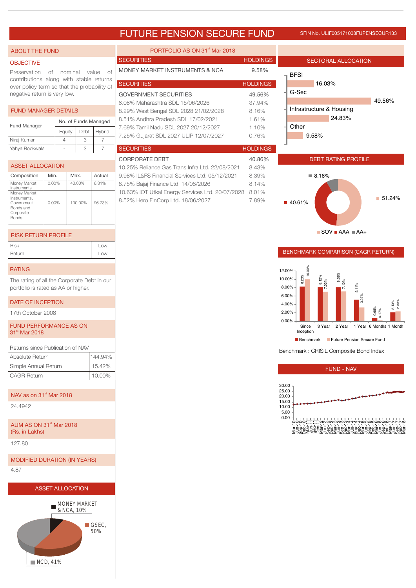# FUTURE PENSION SECURE FUND SFIN NO. ULIF005171008FUPENSECUR133

| <b>ABOUT THE FUND</b>                                                                                                                                               |          |                |                                                                                     |                                    | PORTFOLIO AS ON 31 <sup>st</sup> Mar 2018                                               |                     |                                                                                                     |
|---------------------------------------------------------------------------------------------------------------------------------------------------------------------|----------|----------------|-------------------------------------------------------------------------------------|------------------------------------|-----------------------------------------------------------------------------------------|---------------------|-----------------------------------------------------------------------------------------------------|
| <b>OBJECTIVE</b>                                                                                                                                                    |          |                |                                                                                     |                                    | <b>SECURITIES</b><br><b>HOLDINGS</b>                                                    | SECTORAL ALLOCATION |                                                                                                     |
| Preservation<br>of nominal<br>value<br>0f<br>contributions along with stable returns<br>over policy term so that the probability of<br>negative return is very low. |          |                | MONEY MARKET INSTRUMENTS & NCA<br><b>SECURITIES</b><br><b>GOVERNMENT SECURITIES</b> | 9.58%<br><b>HOLDINGS</b><br>49.56% | <b>BFSI</b><br>16.03%<br>G-Sec<br>49.56%                                                |                     |                                                                                                     |
| <b>FUND MANAGER DETAILS</b>                                                                                                                                         |          |                |                                                                                     |                                    | 8.08% Maharashtra SDL 15/06/2026<br>8.29% West Bengal SDL 2028 21/02/2028               | 37.94%<br>8.16%     | Infrastructure & Housing                                                                            |
| Fund Manager                                                                                                                                                        |          | Equity         | No. of Funds Managed<br>Debt                                                        | Hybrid                             | 8.51% Andhra Pradesh SDL 17/02/2021<br>7.69% Tamil Nadu SDL 2027 20/12/2027             | 1.61%<br>1.10%      | 24.83%<br>Other                                                                                     |
| Niraj Kumar                                                                                                                                                         |          | $\overline{4}$ | 3                                                                                   | $\overline{7}$                     | 7.25% Gujarat SDL 2027 ULIP 12/07/2027                                                  | 0.76%               | 9.58%                                                                                               |
| Yahya Bookwala                                                                                                                                                      |          | ä,             | 3                                                                                   | $\overline{7}$                     | <b>SECURITIES</b>                                                                       | <b>HOLDINGS</b>     |                                                                                                     |
| <b>ASSET ALLOCATION</b>                                                                                                                                             |          |                |                                                                                     |                                    | <b>CORPORATE DEBT</b><br>10.25% Reliance Gas Trans Infra Ltd. 22/08/2021                | 40.86%<br>8.43%     | <b>DEBT RATING PROFILE</b>                                                                          |
| Composition                                                                                                                                                         | Min.     |                | Max.                                                                                | Actual                             | 9.98% IL&FS Financial Services Ltd. 05/12/2021                                          | 8.39%               | ■ 8.16%                                                                                             |
| Money Market<br>Instruments<br>Money Market<br>Instruments,                                                                                                         | $0.00\%$ |                | 40.00%                                                                              | 6.31%                              | 8.75% Bajaj Finance Ltd. 14/08/2026<br>10.63% IOT Utkal Energy Services Ltd. 20/07/2028 | 8.14%<br>8.01%      | $\blacksquare$ 51.24%                                                                               |
| Government<br>Bonds and<br>Corporate<br><b>Bonds</b>                                                                                                                | 0.00%    |                | 100.00%                                                                             | 96.73%                             | 8.52% Hero FinCorp Ltd. 18/06/2027                                                      | 7.89%               | ■ 40.61%                                                                                            |
| <b>RISK RETURN PROFILE</b>                                                                                                                                          |          |                |                                                                                     |                                    |                                                                                         |                     | $\blacksquare$ SOV $\blacksquare$ AAA $\blacksquare$ AA+                                            |
| Risk<br>Return                                                                                                                                                      |          |                |                                                                                     | Low<br>Low                         |                                                                                         |                     | BENCHMARK COMPARISON (CAGR RETURN)                                                                  |
| <b>RATING</b>                                                                                                                                                       |          |                |                                                                                     |                                    |                                                                                         |                     |                                                                                                     |
| The rating of all the Corporate Debt in our<br>portfolio is rated as AA or higher.                                                                                  |          |                |                                                                                     |                                    |                                                                                         |                     | 10.00%<br>12.00%<br>8.06%<br>8.23%<br>8.12%<br>10.00%<br>10%<br>$03\%$<br>5.11%<br>8.00%            |
| DATE OF INCEPTION                                                                                                                                                   |          |                |                                                                                     |                                    |                                                                                         |                     | 6.00%<br>2.13%<br>2.33%<br>4.00%                                                                    |
| 17th October 2008                                                                                                                                                   |          |                |                                                                                     |                                    |                                                                                         |                     | 0.65%<br>0.17%<br>2.00%<br>0.00%                                                                    |
| FUND PERFORMANCE AS ON<br>31 <sup>st</sup> Mar 2018                                                                                                                 |          |                |                                                                                     |                                    |                                                                                         |                     | 3 Year 2 Year 1 Year 6 Months 1 Month<br>Since<br>Inception<br>Benchmark Future Pension Secure Fund |
| Returns since Publication of NAV                                                                                                                                    |          |                |                                                                                     |                                    |                                                                                         |                     | Benchmark: CRISIL Composite Bond Index                                                              |
| Absolute Return<br>Simple Annual Return                                                                                                                             |          |                |                                                                                     | 144.94%<br>15.42%                  |                                                                                         |                     |                                                                                                     |
| <b>CAGR Return</b>                                                                                                                                                  |          |                |                                                                                     | 10.00%                             |                                                                                         |                     | <b>FUND - NAV</b>                                                                                   |
| NAV as on 31 <sup>st</sup> Mar 2018                                                                                                                                 |          |                |                                                                                     |                                    |                                                                                         |                     | 30.00<br>25.00<br>20.00<br>15.00                                                                    |
| 24.4942                                                                                                                                                             |          |                |                                                                                     |                                    |                                                                                         |                     | 10.00<br>5.00                                                                                       |
| AUM AS ON 31 <sup>st</sup> Mar 2018<br>(Rs. in Lakhs)                                                                                                               |          |                |                                                                                     |                                    |                                                                                         |                     | 0.00<br>IUUUUUWWWW4444MMMMQQQQLLLLQ                                                                 |
| 127.80                                                                                                                                                              |          |                |                                                                                     |                                    |                                                                                         |                     |                                                                                                     |
| <b>MODIFIED DURATION (IN YEARS)</b>                                                                                                                                 |          |                |                                                                                     |                                    |                                                                                         |                     |                                                                                                     |
| 4.87                                                                                                                                                                |          |                |                                                                                     |                                    |                                                                                         |                     |                                                                                                     |
|                                                                                                                                                                     |          |                | <b>ASSET ALLOCATION</b>                                                             |                                    |                                                                                         |                     |                                                                                                     |
|                                                                                                                                                                     | NCD, 41% |                | MONEY MARKET<br>& NCA, 10%                                                          | GSEC,<br>50%                       |                                                                                         |                     |                                                                                                     |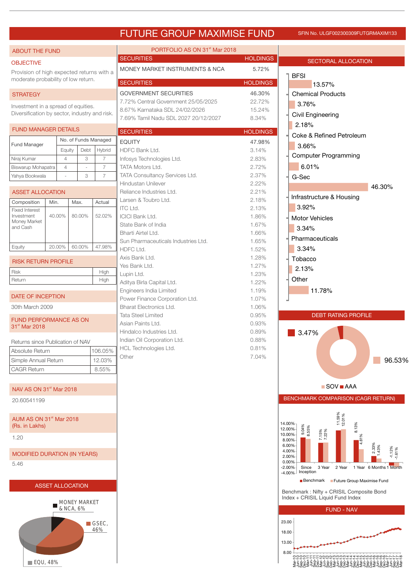# FUTURE GROUP MAXIMISE FUND SFIN No. ULGF002300309FUTGRMAXIM133

| <b>ABOUT THE FUND</b>                                                            |                         |                                  |         |                                  | PORTFOLIO AS ON 31 <sup>st</sup> Mar 2018                             |                  |                                                                                             |
|----------------------------------------------------------------------------------|-------------------------|----------------------------------|---------|----------------------------------|-----------------------------------------------------------------------|------------------|---------------------------------------------------------------------------------------------|
| <b>OBJECTIVE</b>                                                                 |                         |                                  |         |                                  | <b>SECURITIES</b>                                                     | <b>HOLDINGS</b>  | <b>SECTORAL ALLOCATION</b>                                                                  |
| Provision of high expected returns with a<br>moderate probability of low return. |                         |                                  |         |                                  | <b>MONEY MARKET INSTRUMENTS &amp; NCA</b>                             | 5.72%            | <b>BFSI</b>                                                                                 |
|                                                                                  |                         |                                  |         |                                  | <b>SECURITIES</b>                                                     | <b>HOLDINGS</b>  | 13.57%                                                                                      |
| <b>STRATEGY</b>                                                                  |                         |                                  |         |                                  | <b>GOVERNMENT SECURITIES</b>                                          | 46.30%           | <b>Chemical Products</b>                                                                    |
| Investment in a spread of equities.                                              |                         |                                  |         |                                  | 7.72% Central Government 25/05/2025<br>8.67% Karnataka SDL 24/02/2026 | 22.72%<br>15.24% | 3.76%                                                                                       |
| Diversification by sector, industry and risk.                                    |                         |                                  |         |                                  | 7.69% Tamil Nadu SDL 2027 20/12/2027                                  | 8.34%            | Civil Engineering                                                                           |
|                                                                                  |                         |                                  |         |                                  |                                                                       |                  | 2.18%                                                                                       |
| <b>FUND MANAGER DETAILS</b>                                                      |                         |                                  |         |                                  | <b>SECURITIES</b>                                                     | <b>HOLDINGS</b>  | Coke & Refined Petroleum                                                                    |
| Fund Manager                                                                     |                         |                                  |         | No. of Funds Managed             | <b>EQUITY</b>                                                         | 47.98%           | 3.66%                                                                                       |
|                                                                                  |                         | Equity                           | Debt    | Hybrid                           | HDFC Bank Ltd.                                                        | 3.14%            | <b>Computer Programming</b>                                                                 |
| Niraj Kumar                                                                      |                         | $\overline{4}$                   | 3       | $\overline{7}$                   | Infosys Technologies Ltd.<br>TATA Motors Ltd.                         | 2.83%            | 6.01%                                                                                       |
| Biswarup Mohapatra<br>Yahya Bookwala                                             |                         | $\overline{4}$                   | ÷,<br>3 | $\overline{7}$<br>$\overline{7}$ | TATA Consultancy Services Ltd.                                        | 2.72%<br>2.37%   |                                                                                             |
|                                                                                  |                         |                                  |         |                                  | Hindustan Unilever                                                    | 2.22%            | G-Sec                                                                                       |
| <b>ASSET ALLOCATION</b>                                                          |                         |                                  |         |                                  | Reliance Industries Ltd.                                              | 2.21%            | 46.30%                                                                                      |
| Composition                                                                      | Min.                    | Max.                             |         | Actual                           | Larsen & Toubro Ltd.                                                  | 2.18%            | Infrastructure & Housing                                                                    |
| <b>Fixed Interest</b>                                                            |                         |                                  |         |                                  | <b>ITC Ltd.</b>                                                       | 2.13%            | 3.92%                                                                                       |
| Investment<br>Money Market                                                       | 40.00%                  | 80.00%                           |         | 52.02%                           | <b>ICICI Bank Ltd.</b>                                                | 1.86%            | <b>Motor Vehicles</b>                                                                       |
| and Cash                                                                         |                         |                                  |         |                                  | State Bank of India                                                   | 1.67%            | 3.34%                                                                                       |
|                                                                                  |                         |                                  |         |                                  | Bharti Airtel Ltd.                                                    | 1.66%            | Pharmaceuticals                                                                             |
| Equity                                                                           | 20.00%                  | 60.00%                           |         | 47.98%                           | Sun Pharmaceuticals Industries Ltd.<br>HDFC Ltd.                      | 1.65%            | 3.34%                                                                                       |
|                                                                                  |                         |                                  |         |                                  | Axis Bank Ltd.                                                        | 1.52%<br>1.28%   |                                                                                             |
| <b>RISK RETURN PROFILE</b>                                                       |                         |                                  |         |                                  | Yes Bank Ltd.                                                         | 1.27%            | Tobacco                                                                                     |
| Risk                                                                             |                         |                                  |         | High                             | Lupin Ltd.                                                            | 1.23%            | 2.13%                                                                                       |
| Return                                                                           |                         |                                  |         | High                             | Aditya Birla Capital Ltd.                                             | 1.22%            | Other                                                                                       |
|                                                                                  |                         |                                  |         |                                  | Engineers India Limited                                               | 1.19%            | 11.78%                                                                                      |
| <b>DATE OF INCEPTION</b>                                                         |                         |                                  |         |                                  | Power Finance Corporation Ltd.                                        | 1.07%            |                                                                                             |
| 30th March 2009                                                                  |                         |                                  |         |                                  | Bharat Electronics Ltd.                                               | 1.06%            |                                                                                             |
| <b>FUND PERFORMANCE AS ON</b>                                                    |                         |                                  |         |                                  | <b>Tata Steel Limited</b>                                             | 0.95%            | <b>DEBT RATING PROFILE</b>                                                                  |
| 31 <sup>st</sup> Mar 2018                                                        |                         |                                  |         |                                  | Asian Paints Ltd.<br>Hindalco Industries Ltd.                         | 0.93%<br>0.89%   |                                                                                             |
|                                                                                  |                         |                                  |         |                                  | Indian Oil Corporation Ltd.                                           | 0.88%            | 3.47%                                                                                       |
| Returns since Publication of NAV<br>Absolute Return                              |                         |                                  |         |                                  | HCL Technologies Ltd.                                                 | 0.81%            |                                                                                             |
|                                                                                  |                         |                                  |         | 106.05%                          | Other                                                                 | 7.04%            | 96.53%                                                                                      |
| Simple Annual Return<br><b>CAGR Return</b>                                       |                         |                                  |         | 12.03%<br>8.55%                  |                                                                       |                  |                                                                                             |
|                                                                                  |                         |                                  |         |                                  |                                                                       |                  |                                                                                             |
| NAV AS ON 31 <sup>st</sup> Mar 2018                                              |                         |                                  |         |                                  |                                                                       |                  | $\blacksquare$ SOV $\blacksquare$ AAA                                                       |
| 20.60541199                                                                      |                         |                                  |         |                                  |                                                                       |                  | BENCHMARK COMPARISON (CAGR RETURN)                                                          |
| AUM AS ON 31 <sup>st</sup> Mar 2018                                              |                         |                                  |         |                                  |                                                                       |                  | 11.59%<br>12.01%<br>14.00%                                                                  |
| (Rs. in Lakhs)                                                                   |                         |                                  |         |                                  |                                                                       |                  | 8.13%<br>$9.04\%$<br>8.55%<br>12.00%                                                        |
| 1.20                                                                             |                         |                                  |         |                                  |                                                                       |                  | 7.15%<br>7.22%<br>10.00%<br>4.81%<br>$8.00\%$                                               |
|                                                                                  |                         |                                  |         |                                  |                                                                       |                  | $\begin{array}{r} 2.33\% \\ 1.43\% \end{array}$<br>6.00%<br>$-1.12\%$<br>$-1.61\%$<br>4.00% |
| <b>MODIFIED DURATION (IN YEARS)</b>                                              |                         |                                  |         |                                  |                                                                       |                  | 2.00%<br>0.00%                                                                              |
| 5.46                                                                             |                         |                                  |         |                                  |                                                                       |                  | $-2.00%$<br>3 Year<br>2 Year<br>1 Year 6 Months 1 Month<br>Since<br>Inception               |
|                                                                                  |                         |                                  |         |                                  |                                                                       |                  | $-4.00%$<br>Benchmark Future Group Maximise Fund                                            |
|                                                                                  | <b>ASSET ALLOCATION</b> |                                  |         |                                  |                                                                       |                  |                                                                                             |
|                                                                                  |                         |                                  |         |                                  |                                                                       |                  | Benchmark: Nifty + CRISIL Composite Bond<br>Index + CRISIL Liquid Fund Index                |
|                                                                                  |                         | <b>MONEY MARKET</b><br>& NCA, 6% |         |                                  |                                                                       |                  | <b>FUND - NAV</b>                                                                           |
|                                                                                  |                         |                                  |         |                                  |                                                                       |                  | 23.00                                                                                       |
|                                                                                  |                         |                                  |         | $\Box$ GSEC,<br>46%              |                                                                       |                  |                                                                                             |
|                                                                                  |                         |                                  |         |                                  |                                                                       |                  | 18.00                                                                                       |
|                                                                                  |                         |                                  |         |                                  |                                                                       |                  | 13.00                                                                                       |
|                                                                                  |                         |                                  |         |                                  |                                                                       |                  | 8.00                                                                                        |
|                                                                                  |                         |                                  |         |                                  |                                                                       |                  | NNNNNNNNN444400000000FFFF8                                                                  |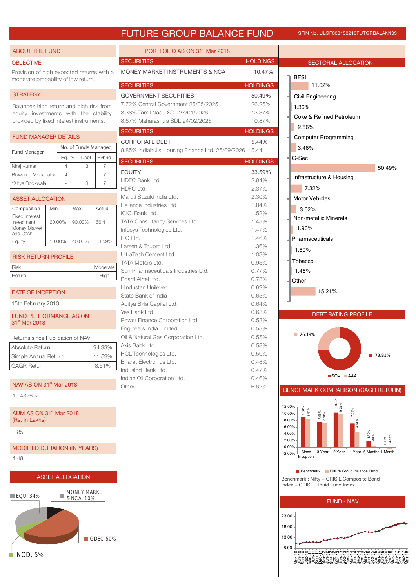# FUTURE GROUP BALANCE FUND

### SFIN No. ULGF003150210FUTGRBALAN133

### ABOUT THE FUND

## **OBJECTIVE**

Provision of high expected returns with a moderate probability of low return.

### **STRATEGY**

Balances high return and high risk from equity investments with the stability provided by fixed interest instruments.

# FUND MANAGER DETAILS

| <b>Fund Manager</b> | No. of Funds Managed |      |                |  |  |
|---------------------|----------------------|------|----------------|--|--|
|                     | Equity               | Debt | <b>H</b> vbrid |  |  |
| Niraj Kumar         |                      | З    |                |  |  |
| Biswarup Mohapatra  |                      | -    |                |  |  |
| Yahya Bookwala      |                      | З    |                |  |  |

# ASSET ALLOCATION

| Composition                                                     | Min.   | Max.   | Actual |
|-----------------------------------------------------------------|--------|--------|--------|
| <b>Fixed Interest</b><br>Investment<br>Money Market<br>and Cash | 60.00% | 90.00% | 66.41  |
| Equity                                                          | 10.00% | 40.00% | 33.59% |

| <b>RISK RETURN PROFILE</b> |          |
|----------------------------|----------|
| <b>Risk</b>                | Moderate |
| Return                     | High     |
|                            |          |

# DATE OF INCEPTION

15th February 2010

### FUND PERFORMANCE AS ON 31<sup>st</sup> Mar 2018

| Returns since Publication of NAV |        |
|----------------------------------|--------|
| Absolute Return                  | 94.33% |
| Simple Annual Return             | 11.59% |
| <b>CAGR Return</b>               | 8.51%  |

## NAV AS ON 31<sup>st</sup> Mar 2018

19.432692

### $\,$  AUM AS ON 31 $\,^{\rm st}$  Mar 2018 (Rs. in Lakhs)

3.85

# MODIFIED DURATION (IN YEARS)

4.48



GDEC,50%

| NCD. 5% |  |
|---------|--|

| PORTFOLIO AS ON 31 <sup>st</sup> Mar 2018        |                 |
|--------------------------------------------------|-----------------|
| <b>SECURITIES</b>                                | <b>HOLDINGS</b> |
| MONEY MARKET INSTRUMENTS & NCA                   | 10.47%          |
| <b>SECURITIES</b>                                | <b>HOLDINGS</b> |
| <b>GOVERNMENT SECURITIES</b>                     | 50.49%          |
| 7.72% Central Government 25/05/2025              | 26.25%          |
| 8.38% Tamil Nadu SDL 27/01/2026                  | 13.37%          |
| 8.67% Maharashtra SDL 24/02/2026                 | 10.87%          |
| <b>SECURITIES</b>                                | <b>HOLDINGS</b> |
| <b>CORPORATE DEBT</b>                            | 5.44%           |
| 8.85% Indiabulls Housing Finance Ltd. 25/09/2026 | 5.44            |
| <b>SECURITIES</b>                                | <b>HOLDINGS</b> |
| <b>EQUITY</b>                                    | 33.59%          |
| HDFC Bank Ltd.                                   | 2.94%           |
| <b>HDFC Ltd.</b>                                 | 2.37%           |
| Maruti Suzuki India Ltd.                         | 2.30%           |
| Reliance Industries Ltd.                         | 1.84%           |
| <b>ICICI Bank Ltd.</b>                           | 1.52%           |
| <b>TATA Consultancy Services Ltd.</b>            | 1.48%           |
| Infosys Technologies Ltd.                        | 1.47%           |
| <b>ITC Ltd.</b>                                  | 1.46%           |
| Larsen & Toubro Ltd.                             | 1.36%           |
| UltraTech Cement Ltd.                            | 1.03%           |
| <b>TATA Motors Ltd.</b>                          | 0.93%           |
| Sun Pharmaceuticals Industries Ltd.              | 0.77%           |
| Bharti Airtel Ltd.                               | 0.73%           |
| Hindustan Unilever                               | 0.69%           |
| State Bank of India                              | 0.65%           |
| Aditya Birla Capital Ltd.                        | 0.64%           |
| Yes Bank Ltd.                                    | 0.63%           |
| Power Finance Corporation Ltd.                   | 0.58%           |
| Engineers India Limited                          | 0.58%           |
| Oil & Natural Gas Corporation Ltd.               | 0.55%           |
| Axis Bank Ltd.                                   | 0.53%           |
| <b>HCL Technologies Ltd.</b>                     | 0.50%           |
| Bharat Electronics Ltd.                          | 0.48%           |
| IndusInd Bank Ltd.                               | 0.47%           |
| Indian Oil Corporation Ltd.                      | 0.46%           |
| Other                                            | 6.62%           |
|                                                  |                 |